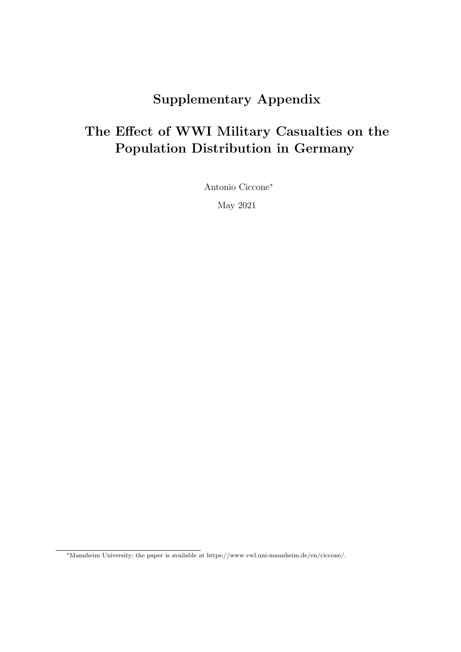## Supplementary Appendix

# The Effect of WWI Military Casualties on the Population Distribution in Germany

Antonio Ciccone<sup>∗</sup>

May 2021

<sup>∗</sup>Mannheim University; the paper is available at https://www.vwl.uni-mannheim.de/en/ciccone/.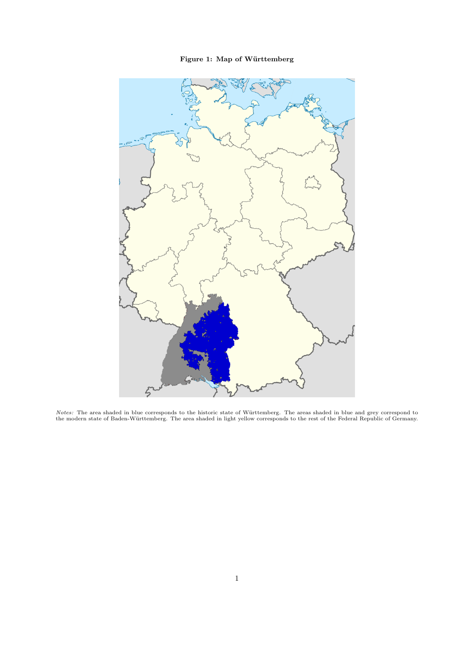Figure 1: Map of Württemberg



Notes: The area shaded in blue corresponds to the historic state of Württemberg. The areas shaded in blue and grey correspond to<br>the modern state of Baden-Württemberg. The area shaded in light yellow corresponds to the res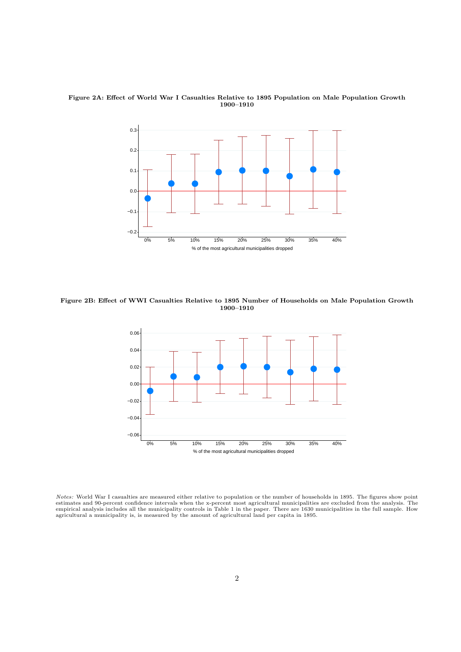

Figure 2A: Effect of World War I Casualties Relative to 1895 Population on Male Population Growth 1900–1910

Figure 2B: Effect of WWI Casualties Relative to 1895 Number of Households on Male Population Growth 1900–1910



*Notes:* World War I casualties are measured either relative to population or the number of households in 1895. The figures show point estimates and 90-percent confidence intervals when the x-percent most agricultural muni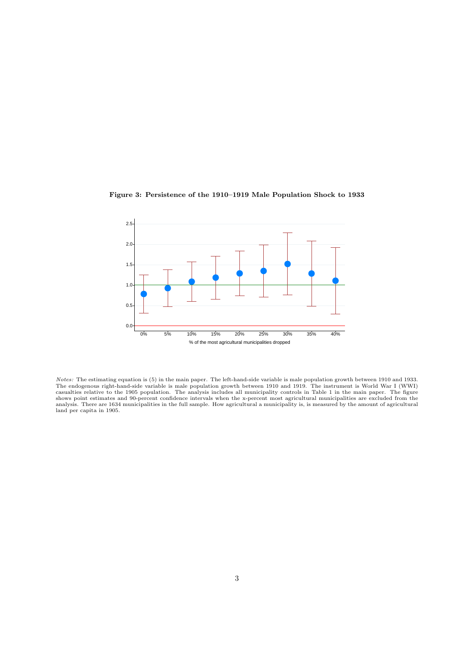

Figure 3: Persistence of the 1910–1919 Male Population Shock to 1933

*Notes:* The estimating equation is (5) in the main paper. The left-hand-side variable is male population growth between 1910 and 1933.<br>The endogenous right-hand-side variable is male population growth between 1910 and 191 casualties relative to the 1905 population. The analysis includes all municipality controls in Table 1 in the main paper. The figure<br>shows point estimates and 90-percent confidence intervals when the x-percent most agricul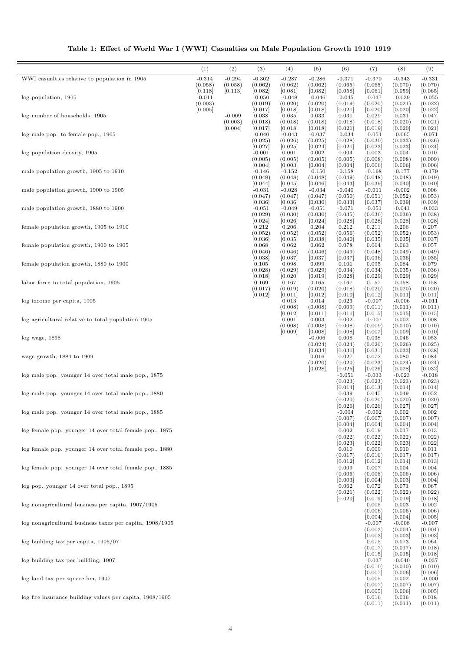| Table 1: Effect of World War I (WWI) Casualties on Male Population Growth 1910–1919 |  |  |  |  |
|-------------------------------------------------------------------------------------|--|--|--|--|
|-------------------------------------------------------------------------------------|--|--|--|--|

|                                                              | (1)                 | (2)                 | (3)                 | (4)                 | (5)                 | (6)                 | (7)                 | (8)                 | (9)                 |
|--------------------------------------------------------------|---------------------|---------------------|---------------------|---------------------|---------------------|---------------------|---------------------|---------------------|---------------------|
| WWI casualties relative to population in 1905                | $-0.314$            | $-0.294$            | $-0.302$            | $-0.287$            | $-0.286$            | $-0.371$            | $-0.370$            | $-0.343$            | $-0.331$            |
|                                                              | (0.058)<br>[0.118]  | (0.058)<br>[0.113]  | (0.062)<br>[0.082]  | (0.062)<br>[0.081]  | (0.062)<br>[0.082]  | (0.065)<br>[0.058]  | (0.065)<br>[0.061]  | (0.070)<br>[0.059]  | (0.070)<br>[0.065]  |
| log population, 1905                                         | $-0.011$<br>(0.003) |                     | $-0.050$<br>(0.019) | $-0.048$<br>(0.020) | $-0.046$<br>(0.020) | $-0.045$<br>(0.019) | $-0.037$<br>(0.020) | $-0.039$<br>(0.021) | $-0.055$<br>(0.022) |
|                                                              | [0.005]             |                     | [0.017]             | [0.018]             | [0.018]             | [0.021]             | [0.020]             | [0.020]             | [0.022]             |
| log number of households, 1905                               |                     | $-0.009$<br>(0.003) | 0.038<br>(0.018)    | 0.035<br>(0.018)    | 0.033<br>(0.018)    | 0.031<br>(0.018)    | 0.029<br>(0.018)    | 0.031<br>(0.020)    | 0.047<br>(0.021)    |
|                                                              |                     | [0.004]             | [0.017]             | [0.018]             | [0.018]             | [0.021]             | [0.019]             | [0.020]             | [0.021]             |
| log male pop. to female pop., 1905                           |                     |                     | $-0.040$<br>(0.025) | $-0.043$<br>(0.026) | $-0.037$<br>(0.025) | $-0.034$<br>(0.028) | $-0.054$<br>(0.030) | $-0.065$<br>(0.033) | $-0.071$<br>(0.036) |
|                                                              |                     |                     | [0.027]             | [0.025]             | [0.024]             | [0.021]             | [0.023]             | [0.023]             | [0.024]             |
| log population density, 1905                                 |                     |                     | $-0.001$<br>(0.005) | 0.001<br>(0.005)    | 0.002<br>(0.005)    | 0.004<br>(0.005)    | 0.003<br>(0.008)    | 0.004<br>(0.008)    | 0.010<br>(0.009)    |
| male population growth, 1905 to 1910                         |                     |                     | [0.004]             | [0.003]             | [0.004]             | [0.004]             | [0.006]             | [0.006]             | [0.006]             |
|                                                              |                     |                     | $-0.146$<br>(0.048) | $-0.152$<br>(0.048) | $-0.150$<br>(0.048) | $-0.158$<br>(0.049) | $-0.168$<br>(0.048) | $-0.177$<br>(0.048) | $-0.179$<br>(0.049) |
| male population growth, 1900 to 1905                         |                     |                     | [0.044]<br>$-0.031$ | [0.045]<br>$-0.028$ | [0.046]<br>$-0.034$ | [0.043]<br>$-0.040$ | [0.039]<br>$-0.011$ | [0.040]<br>$-0.002$ | [0.040]<br>0.006    |
|                                                              |                     |                     | (0.047)             | (0.047)             | (0.047)             | (0.050)             | (0.051)             | (0.052)             | (0.053)             |
| male population growth, 1880 to 1900                         |                     |                     | [0.036]<br>$-0.051$ | [0.036]<br>$-0.049$ | [0.030]<br>$-0.051$ | [0.033]<br>$-0.071$ | [0.037]<br>$-0.051$ | [0.039]<br>$-0.041$ | [0.039]<br>$-0.033$ |
|                                                              |                     |                     | (0.029)             | (0.030)             | (0.030)             | (0.035)             | (0.036)             | (0.036)             | (0.038)             |
| female population growth, 1905 to 1910                       |                     |                     | [0.024]<br>0.212    | [0.026]<br>0.206    | [0.024]<br>0.204    | [0.028]<br>0.212    | [0.028]<br>0.211    | [0.028]<br>0.206    | [0.028]<br>0.207    |
|                                                              |                     |                     | (0.052)             | (0.052)             | (0.052)             | (0.056)             | (0.052)             | (0.052)             | (0.053)             |
| female population growth, 1900 to 1905                       |                     |                     | [0.036]<br>0.068    | [0.035]<br>0.062    | [0.038]<br>0.062    | [0.040]<br>0.078    | [0.035]<br>0.064    | [0.035]<br>0.063    | [0.037]<br>0.057    |
|                                                              |                     |                     | (0.046)<br>[0.038]  | (0.046)<br>[0.037]  | (0.046)<br>[0.037]  | (0.049)<br>[0.037]  | (0.048)<br>[0.036]  | (0.049)<br>[0.036]  | (0.049)<br>[0.035]  |
| female population growth, 1880 to 1900                       |                     |                     | 0.105               | 0.098               | 0.099               | 0.101               | 0.095               | 0.084               | 0.079               |
|                                                              |                     |                     | (0.028)<br>[0.018]  | (0.029)<br>[0.020]  | (0.029)<br>[0.019]  | (0.034)<br>[0.028]  | (0.034)<br>[0.029]  | (0.035)<br>[0.029]  | (0.036)<br>[0.029]  |
| labor force to total population, 1905                        |                     |                     | 0.169               | 0.167               | 0.165               | 0.167               | 0.157               | 0.158               | 0.158               |
|                                                              |                     |                     | (0.017)<br>[0.012]  | (0.019)<br>[0.011]  | (0.020)<br>[0.012]  | (0.018)<br>[0.010]  | (0.020)<br>[0.012]  | (0.020)<br>[0.011]  | (0.020)<br>[0.011]  |
| log income per capita, 1905                                  |                     |                     |                     | 0.013               | 0.014               | 0.023               | $-0.007$            | $-0.006$            | $-0.011$            |
|                                                              |                     |                     |                     | (0.008)<br>[0.012]  | (0.008)<br>[0.011]  | (0.009)<br>[0.011]  | (0.011)<br>[0.015]  | (0.011)<br>[0.015]  | (0.011)<br>[0.015]  |
| log agricultural relative to total population 1905           |                     |                     |                     | 0.001<br>(0.008)    | 0.003<br>(0.008)    | 0.002<br>(0.008)    | $-0.007$<br>(0.009) | 0.002<br>(0.010)    | 0.008<br>(0.010)    |
|                                                              |                     |                     |                     | [0.009]             | [0.008]             | [0.008]             | [0.007]             | [0.009]             | [0.010]             |
| $log$ wage, $1898$                                           |                     |                     |                     |                     | $-0.006$<br>(0.024) | 0.008<br>(0.024)    | 0.038<br>(0.026)    | 0.046<br>(0.026)    | 0.053<br>(0.025)    |
|                                                              |                     |                     |                     |                     | [0.034]             | [0.031]             | [0.031]             | [0.033]             | [0.038]             |
| wage growth, 1884 to 1909                                    |                     |                     |                     |                     | 0.016<br>(0.020)    | 0.027<br>(0.020)    | 0.072<br>(0.023)    | 0.080<br>(0.024)    | 0.084<br>(0.024)    |
| log male pop. younger 14 over total male pop., 1875          |                     |                     |                     |                     | [0.028]             | [0.025]<br>$-0.051$ | [0.026]<br>$-0.033$ | [0.028]<br>$-0.023$ | [0.032]<br>$-0.018$ |
|                                                              |                     |                     |                     |                     |                     | (0.023)             | (0.023)             | (0.023)             | (0.023)             |
| log male pop. younger 14 over total male pop., 1880          |                     |                     |                     |                     |                     | [0.014]<br>0.039    | [0.013]<br>0.045    | [0.014]<br>0.049    | [0.014]<br>0.052    |
|                                                              |                     |                     |                     |                     |                     | (0.020)             | (0.020)             | (0.020)             | (0.020)             |
| log male pop. younger 14 over total male pop., 1885          |                     |                     |                     |                     |                     | [0.026]<br>$-0.004$ | [0.026]<br>$-0.002$ | [0.027]<br>0.002    | [0.027]<br>0.002    |
|                                                              |                     |                     |                     |                     |                     | (0.007)             | (0.007)             | (0.007)             | (0.007)             |
| log female pop. younger 14 over total female pop., 1875      |                     |                     |                     |                     |                     | [0.004]<br>0.002    | [0.004]<br>0.019    | [0.004]<br>0.017    | [0.004]<br>0.013    |
|                                                              |                     |                     |                     |                     |                     | (0.022)<br>[0.023]  | (0.022)<br>[0.022]  | (0.022)<br>[0.023]  | (0.022)<br>[0.022]  |
| log female pop. younger 14 over total female pop., 1880      |                     |                     |                     |                     |                     | 0.010               | 0.009               | 0.010               | 0.011               |
|                                                              |                     |                     |                     |                     |                     | (0.017)<br>[0.012]  | (0.016)<br>[0.012]  | (0.017)<br> 0.014   | (0.017)<br>[0.013]  |
| log female pop. younger 14 over total female pop., 1885      |                     |                     |                     |                     |                     | 0.009               | 0.007               | 0.004               | 0.004               |
|                                                              |                     |                     |                     |                     |                     | (0.006)<br>[0.003]  | (0.006)<br>[0.004]  | (0.006)<br>[0.003]  | (0.006)<br>[0.004]  |
| log pop. younger 14 over total pop., 1895                    |                     |                     |                     |                     |                     | 0.062               | 0.072               | 0.071               | 0.067               |
|                                                              |                     |                     |                     |                     |                     | (0.021)<br>[0.020]  | (0.022)<br>[0.019]  | (0.022)<br>[0.019]  | (0.022)<br>[0.018]  |
| log nonagricultural business per capita, 1907/1905           |                     |                     |                     |                     |                     |                     | 0.005<br>(0.006)    | 0.003<br>(0.006)    | 0.002<br>(0.006)    |
|                                                              |                     |                     |                     |                     |                     |                     | [0.004]             | [0.004]             | [0.005]             |
| log nonagricultural business taxes per capita, 1908/1905     |                     |                     |                     |                     |                     |                     | $-0.007$<br>(0.003) | $-0.008$<br>(0.004) | $-0.007$<br>(0.004) |
|                                                              |                     |                     |                     |                     |                     |                     | [0.003]             | 0.003               | [0.003]             |
| $log$ building tax per capita, $1905/07$                     |                     |                     |                     |                     |                     |                     | 0.075<br>(0.017)    | 0.073<br>(0.017)    | 0.064<br>(0.018)    |
| log building tax per building, 1907                          |                     |                     |                     |                     |                     |                     | [0.015]<br>$-0.037$ | 0.015 <br>$-0.040$  | [0.018]<br>$-0.037$ |
|                                                              |                     |                     |                     |                     |                     |                     | (0.010)             | (0.010)             | (0.010)             |
| log land tax per square km, 1907                             |                     |                     |                     |                     |                     |                     | [0.007]<br>0.005    | [0.006]<br>0.002    | [0.006]<br>$-0.000$ |
|                                                              |                     |                     |                     |                     |                     |                     | (0.007)             | (0.007)             | (0.007)             |
| $log$ fire insurance building values per capita, $1908/1905$ |                     |                     |                     |                     |                     |                     | [0.005]<br>0.016    | [0.006]<br>0.016    | [0.005]<br>0.018    |
|                                                              |                     |                     |                     |                     |                     |                     | (0.011)             | (0.011)             | (0.011)             |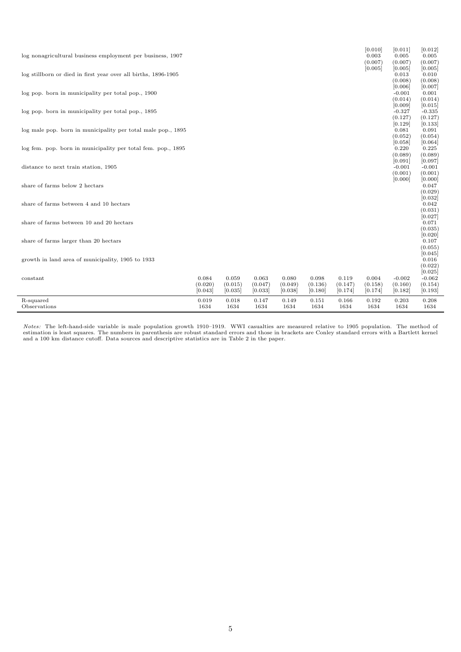| log nonagricultural business employment per business, 1907     |                             |                             |                             |                             |                             |                             | [0.010]<br>0.003<br>(0.007) | [0.011]<br>0.005<br>(0.007)               | [0.012]<br>0.005<br>(0.007)            |
|----------------------------------------------------------------|-----------------------------|-----------------------------|-----------------------------|-----------------------------|-----------------------------|-----------------------------|-----------------------------|-------------------------------------------|----------------------------------------|
| log stillborn or died in first year over all births, 1896-1905 |                             |                             |                             |                             |                             |                             | [0.005]                     | [0.005]<br>0.013<br>(0.008)               | [0.005]<br>0.010<br>(0.008)            |
| log pop. born in municipality per total pop., 1900             |                             |                             |                             |                             |                             |                             |                             | [0.006]<br>$-0.001$<br>(0.014)            | [0.007]<br>0.001<br>(0.014)            |
| log pop. born in municipality per total pop., 1895             |                             |                             |                             |                             |                             |                             |                             | [0.009]<br>$-0.327$<br>(0.127)            | [0.015]<br>$-0.335$<br>(0.127)         |
| log male pop. born in municipality per total male pop., 1895   |                             |                             |                             |                             |                             |                             |                             | [0.129]<br>0.081<br>(0.052)               | [0.133]<br>0.091<br>(0.054)            |
| log fem. pop. born in municipality per total fem. pop., 1895   |                             |                             |                             |                             |                             |                             |                             | [0.058]<br>0.220<br>(0.089)               | [0.064]<br>0.225<br>(0.089)            |
| distance to next train station, 1905                           |                             |                             |                             |                             |                             |                             |                             | [0.091]<br>$-0.001$<br>(0.001)<br>[0.000] | [0.097]<br>$-0.001$<br>(0.001)         |
| share of farms below 2 hectars                                 |                             |                             |                             |                             |                             |                             |                             |                                           | [0.000]<br>0.047<br>(0.029)<br>[0.032] |
| share of farms between 4 and 10 hectars                        |                             |                             |                             |                             |                             |                             |                             |                                           | 0.042<br>(0.031)<br>[0.027]            |
| share of farms between 10 and 20 hectars                       |                             |                             |                             |                             |                             |                             |                             |                                           | 0.071<br>(0.035)<br>[0.020]            |
| share of farms larger than 20 hectars                          |                             |                             |                             |                             |                             |                             |                             |                                           | 0.107<br>(0.055)<br>[0.045]            |
| growth in land area of municipality, 1905 to 1933              |                             |                             |                             |                             |                             |                             |                             |                                           | 0.016<br>(0.022)<br>[0.025]            |
| constant                                                       | 0.084<br>(0.020)<br>[0.043] | 0.059<br>(0.015)<br>[0.035] | 0.063<br>(0.047)<br>[0.033] | 0.080<br>(0.049)<br>[0.038] | 0.098<br>(0.136)<br>[0.180] | 0.119<br>(0.147)<br>[0.174] | 0.004<br>(0.158)<br>[0.174] | $-0.002$<br>(0.160)<br>[0.182]            | $-0.062$<br>(0.154)<br>[0.193]         |
| R-squared<br>Observations                                      | 0.019<br>1634               | 0.018<br>1634               | 0.147<br>1634               | 0.149<br>1634               | 0.151<br>1634               | 0.166<br>1634               | 0.192<br>1634               | 0.203<br>1634                             | 0.208<br>1634                          |

Notes: The left-hand-side variable is male population growth 1910–1919. WWI casualties are measured relative to 1905 population. The method of<br>estimation is least squares. The numbers in parenthesis are robust standard err and a 100 km distance cutoff. Data sources and descriptive statistics are in Table 2 in the paper.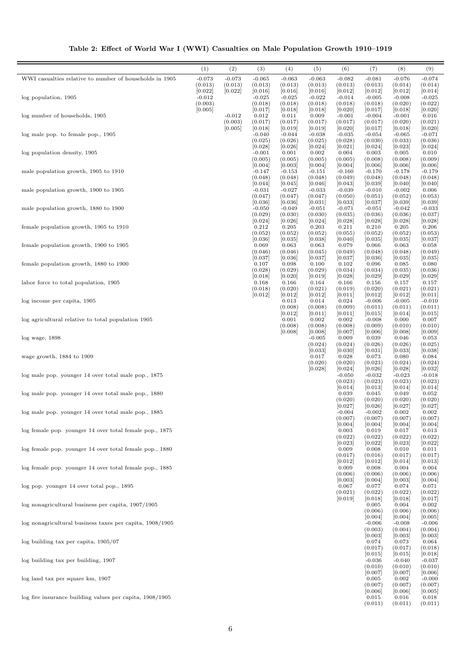| Table 2: Effect of World War I (WWI) Casualties on Male Population Growth 1910–1919 |  |
|-------------------------------------------------------------------------------------|--|
|                                                                                     |  |

|                                                            | (1)                 | (2)      | (3)                | (4)                | (5)                 | (6)                | (7)                 | (8)                 | (9)                 |
|------------------------------------------------------------|---------------------|----------|--------------------|--------------------|---------------------|--------------------|---------------------|---------------------|---------------------|
| WWI casualties relative to number of households in 1905    | $-0.073$            | $-0.073$ | $-0.065$           | $-0.063$           | $-0.063$            | $-0.082$           | $-0.081$            | $-0.076$            | $-0.074$            |
|                                                            | (0.013)             | (0.013)  | (0.013)            | (0.013)            | (0.013)             | (0.013)            | (0.013)             | (0.014)             | (0.014)             |
|                                                            | [0.022]             | [0.022]  | [0.016]            | [0.016]            | [0.016]             | [0.012]            | [0.012]             | [0.012]             | [0.014]             |
| log population, 1905                                       | $-0.012$<br>(0.003) |          | $-0.025$           | $-0.025$           | $-0.022$            | $-0.014$           | $-0.005$            | $-0.008$            | $-0.025$            |
|                                                            | [0.005]             |          | (0.018)<br>[0.017] | (0.018)<br>[0.018] | (0.018)<br>[0.018]  | (0.018)<br>[0.020] | (0.018)<br>[0.017]  | (0.020)<br>[0.018]  | (0.022)<br>[0.020]  |
| log number of households, 1905                             |                     | $-0.012$ | 0.012              | 0.011              | 0.009               | $-0.001$           | $-0.004$            | $-0.001$            | 0.016               |
|                                                            |                     | (0.003)  | (0.017)            | (0.017)            | (0.017)             | (0.017)            | (0.017)             | (0.020)             | (0.021)             |
|                                                            |                     | [0.005]  | [0.018]            | [0.019]            | [0.019]             | [0.020]            | [0.017]             | [0.018]             | [0.020]             |
| log male pop. to female pop., 1905                         |                     |          | $-0.040$           | $-0.044$           | $-0.038$            | $-0.035$           | $-0.054$            | $-0.065$            | $-0.071$            |
|                                                            |                     |          | (0.025)<br>[0.028] | (0.026)<br>[0.026] | (0.025)<br>[0.024]  | (0.028)<br>[0.021] | (0.030)<br>[0.024]  | (0.033)<br>[0.023]  | (0.036)<br>[0.024]  |
| log population density, 1905                               |                     |          | $-0.001$           | 0.001              | 0.002               | 0.004              | 0.003               | 0.005               | 0.010               |
|                                                            |                     |          | (0.005)            | (0.005)            | (0.005)             | (0.005)            | (0.008)             | (0.008)             | (0.009)             |
|                                                            |                     |          | [0.004]            | [0.003]            | [0.004]             | [0.004]            | [0.006]             | [0.006]             | [0.006]             |
| male population growth, 1905 to 1910                       |                     |          | $-0.147$           | $-0.153$           | $-0.151$            | $-0.160$           | $-0.170$            | $-0.178$            | $-0.179$            |
|                                                            |                     |          | (0.048)<br>[0.044] | (0.048)<br>[0.045] | (0.048)<br>[0.046]  | (0.049)<br>[0.043] | (0.048)<br>[0.039]  | (0.048)<br>[0.040]  | (0.048)<br>[0.040]  |
| male population growth, 1900 to 1905                       |                     |          | $-0.031$           | $-0.027$           | $-0.033$            | $-0.039$           | $-0.010$            | $-0.002$            | 0.006               |
|                                                            |                     |          | (0.047)            | (0.047)            | (0.047)             | (0.050)            | (0.051)             | (0.052)             | (0.053)             |
|                                                            |                     |          | [0.036]            | [0.036]            | [0.031]             | [0.033]            | [0.037]             | [0.039]             | [0.039]             |
| male population growth, 1880 to 1900                       |                     |          | $-0.050$           | $-0.049$           | $-0.051$            | $-0.071$           | $-0.051$            | $-0.042$            | $-0.033$            |
|                                                            |                     |          | (0.029)            | (0.030)            | (0.030)             | (0.035)            | (0.036)             | (0.036)             | (0.037)             |
| female population growth, 1905 to 1910                     |                     |          | [0.024]<br>0.212   | [0.026]<br>0.205   | [0.024]<br>0.203    | [0.028]<br>0.211   | [0.028]<br>0.210    | [0.028]<br>0.205    | [0.028]<br>0.206    |
|                                                            |                     |          | (0.052)            | (0.052)            | (0.052)             | (0.055)            | (0.052)             | (0.052)             | (0.053)             |
|                                                            |                     |          | [0.036]            | [0.035]            | [0.038]             | [0.040]            | [0.035]             | [0.035]             | [0.037]             |
| female population growth, 1900 to 1905                     |                     |          | 0.069              | 0.063              | 0.063               | 0.079              | 0.066               | 0.063               | 0.058               |
|                                                            |                     |          | (0.046)            | (0.046)            | (0.045)             | (0.049)            | (0.048)             | (0.048)             | (0.049)             |
| female population growth, 1880 to 1900                     |                     |          | [0.037]<br>0.107   | [0.036]<br>0.098   | [0.037]<br>0.100    | [0.037]<br>0.102   | [0.036]<br>0.096    | [0.035]<br>0.085    | [0.035]<br>0.080    |
|                                                            |                     |          | (0.028)            | (0.029)            | (0.029)             | (0.034)            | (0.034)             | (0.035)             | (0.036)             |
|                                                            |                     |          | [0.018]            | [0.020]            | [0.019]             | [0.028]            | [0.029]             | [0.029]             | [0.029]             |
| labor force to total population, 1905                      |                     |          | 0.168              | 0.166              | 0.164               | 0.166              | 0.156               | 0.157               | 0.157               |
|                                                            |                     |          | (0.018)            | (0.020)            | (0.021)             | (0.019)            | (0.020)             | (0.021)             | (0.021)             |
|                                                            |                     |          | [0.012]            | [0.012]            | [0.012]             | [0.011]            | [0.012]             | [0.012]             | [0.011]             |
| log income per capita, 1905                                |                     |          |                    | 0.013<br>(0.008)   | 0.014<br>(0.008)    | 0.024<br>(0.009)   | $-0.006$<br>(0.011) | $-0.005$<br>(0.011) | $-0.010$<br>(0.011) |
|                                                            |                     |          |                    | [0.012]            | [0.011]             | [0.011]            | [0.015]             | [0.014]             | [0.015]             |
| log agricultural relative to total population 1905         |                     |          |                    | 0.001              | 0.002               | 0.002              | $-0.008$            | 0.000               | 0.007               |
|                                                            |                     |          |                    | (0.008)            | (0.008)             | (0.008)            | (0.009)             | (0.010)             | (0.010)             |
|                                                            |                     |          |                    | [0.008]            | [0.008]             | [0.007]            | [0.006]             | [0.008]             | [0.009]             |
| $log$ wage, $1898$                                         |                     |          |                    |                    | $-0.005$<br>(0.024) | 0.009              | 0.039<br>(0.026)    | 0.046               | 0.053               |
|                                                            |                     |          |                    |                    | [0.033]             | (0.024)<br>[0.030] | [0.031]             | (0.026)<br>[0.033]  | (0.025)<br>[0.038]  |
| wage growth, 1884 to 1909                                  |                     |          |                    |                    | 0.017               | 0.028              | 0.073               | 0.080               | 0.084               |
|                                                            |                     |          |                    |                    | (0.020)             | (0.020)            | (0.023)             | (0.024)             | (0.024)             |
|                                                            |                     |          |                    |                    | [0.028]             | [0.024]            | [0.026]             | [0.028]             | [0.032]             |
| log male pop. younger 14 over total male pop., 1875        |                     |          |                    |                    |                     | $-0.050$           | $-0.032$            | $-0.023$            | $-0.018$            |
|                                                            |                     |          |                    |                    |                     | (0.023)<br>[0.014] | (0.023)<br>[0.013]  | (0.023)<br>[0.014]  | (0.023)<br>[0.014]  |
| log male pop. younger 14 over total male pop., 1880        |                     |          |                    |                    |                     | 0.039              | 0.045               | 0.049               | 0.052               |
|                                                            |                     |          |                    |                    |                     | (0.020)            | (0.020)             | (0.020)             | (0.020)             |
|                                                            |                     |          |                    |                    |                     | [0.027]            | [0.026]             | [0.027]             | [0.027]             |
| log male pop. younger 14 over total male pop., 1885        |                     |          |                    |                    |                     | $-0.004$           | $-0.002$            | 0.002               | 0.002               |
|                                                            |                     |          |                    |                    |                     | (0.007)            | (0.007)             | (0.007)             | (0.007)             |
| log female pop. younger 14 over total female pop., 1875    |                     |          |                    |                    |                     | [0.004]<br>0.003   | [0.004]<br>0.019    | [0.004]<br>0.017    | [0.004]<br>0.013    |
|                                                            |                     |          |                    |                    |                     | (0.022)            | (0.022)             | (0.022)             | (0.022)             |
|                                                            |                     |          |                    |                    |                     | [0.023]            | [0.022]             | [0.023]             | [0.022]             |
| log female pop. younger 14 over total female pop., 1880    |                     |          |                    |                    |                     | 0.009              | 0.008               | 0.010               | 0.011               |
|                                                            |                     |          |                    |                    |                     | (0.017)            | (0.016)             | (0.017)             | (0.017)             |
| log female pop. younger 14 over total female pop., 1885    |                     |          |                    |                    |                     | [0.012]<br>0.009   | [0.012]<br>0.008    | [0.014]<br>0.004    | [0.013]<br>0.004    |
|                                                            |                     |          |                    |                    |                     | (0.006)            | (0.006)             | (0.006)             | (0.006)             |
|                                                            |                     |          |                    |                    |                     | [0.003]            | [0.004]             | [0.003]             | [0.004]             |
| log pop. younger 14 over total pop., 1895                  |                     |          |                    |                    |                     | 0.067              | 0.077               | 0.074               | 0.071               |
|                                                            |                     |          |                    |                    |                     | (0.021)            | (0.022)             | (0.022)             | (0.022)             |
|                                                            |                     |          |                    |                    |                     | [0.019]            | [0.018]             | [0.018]             | [0.017]             |
| log nonagricultural business per capita, 1907/1905         |                     |          |                    |                    |                     |                    | 0.005<br>(0.006)    | 0.004<br>(0.006)    | 0.002<br>(0.006)    |
|                                                            |                     |          |                    |                    |                     |                    | [0.004]             | [0.004]             | [0.005]             |
| log nonagricultural business taxes per capita, $1908/1905$ |                     |          |                    |                    |                     |                    | $-0.006$            | $-0.008$            | $-0.006$            |
|                                                            |                     |          |                    |                    |                     |                    | (0.003)             | (0.004)             | (0.004)             |
|                                                            |                     |          |                    |                    |                     |                    | [0.003]             | [0.003]             | [0.003]             |
| $log$ building tax per capita, $1905/07$                   |                     |          |                    |                    |                     |                    | 0.074<br>(0.017)    | 0.073               | 0.064               |
|                                                            |                     |          |                    |                    |                     |                    | [0.015]             | (0.017)<br>[0.015]  | (0.018)<br>[0.018]  |
| log building tax per building, 1907                        |                     |          |                    |                    |                     |                    | $-0.036$            | $-0.040$            | $-0.037$            |
|                                                            |                     |          |                    |                    |                     |                    | (0.010)             | (0.010)             | (0.010)             |
|                                                            |                     |          |                    |                    |                     |                    | [0.007]             | [0.007]             | [0.006]             |
| log land tax per square km, 1907                           |                     |          |                    |                    |                     |                    | 0.005               | 0.002               | $-0.000$            |
|                                                            |                     |          |                    |                    |                     |                    | (0.007)<br>[0.006]  | (0.007)<br>[0.006]  | (0.007)<br>[0.005]  |
| log fire insurance building values per capita, $1908/1905$ |                     |          |                    |                    |                     |                    | 0.015               | 0.016               | 0.018               |
|                                                            |                     |          |                    |                    |                     |                    | (0.011)             | (0.011)             | (0.011)             |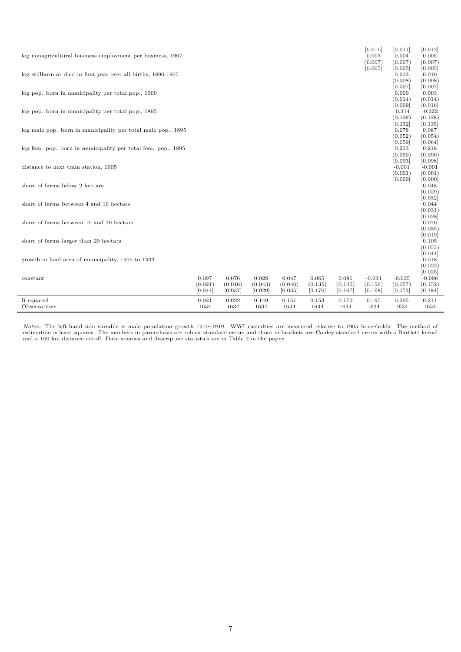| log nonagricultural business employment per business, 1907     |                             |                             |                             |                             |                             |                             | [0.010]<br>0.003<br>(0.007)    | [0.011]<br>0.004<br>(0.007)    | [0.012]<br>0.005<br>(0.007)            |
|----------------------------------------------------------------|-----------------------------|-----------------------------|-----------------------------|-----------------------------|-----------------------------|-----------------------------|--------------------------------|--------------------------------|----------------------------------------|
| log stillborn or died in first year over all births, 1896-1905 |                             |                             |                             |                             |                             |                             | [0.005]                        | [0.005]<br>0.013<br>(0.008)    | [0.005]<br>0.010<br>(0.008)            |
| log pop. born in municipality per total pop., 1900             |                             |                             |                             |                             |                             |                             |                                | [0.007]<br>0.000<br>(0.014)    | [0.007]<br>0.003<br>(0.014)            |
| log pop. born in municipality per total pop., 1895             |                             |                             |                             |                             |                             |                             |                                | [0.009]<br>$-0.314$<br>(0.129) | [0.016]<br>$-0.322$<br>(0.128)         |
| log male pop. born in municipality per total male pop., 1895   |                             |                             |                             |                             |                             |                             |                                | [0.132]<br>0.078<br>(0.052)    | [0.135]<br>0.087<br>(0.054)            |
| log fem. pop. born in municipality per total fem. pop., 1895   |                             |                             |                             |                             |                             |                             |                                | [0.059]<br>0.213<br>(0.090)    | [0.064]<br>0.218<br>(0.090)            |
| distance to next train station, 1905                           |                             |                             |                             |                             |                             |                             |                                | [0.093]<br>$-0.001$<br>(0.001) | [0.098]<br>$-0.001$<br>(0.001)         |
| share of farms below 2 hectars                                 |                             |                             |                             |                             |                             |                             |                                | [0.000]                        | [0.000]<br>0.048<br>(0.029)<br>[0.032] |
| share of farms between 4 and 10 hectars                        |                             |                             |                             |                             |                             |                             |                                |                                | 0.044<br>(0.031)<br>[0.028]            |
| share of farms between 10 and 20 hectars                       |                             |                             |                             |                             |                             |                             |                                |                                | 0.070<br>(0.035)<br>[0.019]            |
| share of farms larger than 20 hectars                          |                             |                             |                             |                             |                             |                             |                                |                                | 0.105<br>(0.055)<br>[0.044]            |
| growth in land area of municipality, 1905 to 1933              |                             |                             |                             |                             |                             |                             |                                |                                | 0.018<br>(0.022)<br>[0.025]            |
| constant                                                       | 0.097<br>(0.021)<br>[0.044] | 0.076<br>(0.016)<br>[0.037] | 0.028<br>(0.043)<br>[0.029] | 0.047<br>(0.046)<br>[0.035] | 0.065<br>(0.135)<br>[0.176] | 0.081<br>(0.145)<br>[0.167] | $-0.034$<br>(0.156)<br>[0.168] | $-0.035$<br>(0.157)<br>[0.173] | $-0.096$<br>(0.152)<br>[0.184]         |
| R-squared<br>Observations                                      | 0.021<br>1634               | 0.022<br>1634               | 0.149<br>1634               | 0.151<br>1634               | 0.153<br>1634               | 0.170<br>1634               | 0.195<br>1634                  | 0.205<br>1634                  | 0.211<br>1634                          |

Notes: The left-hand-side variable is male population growth 1910–1919. WWI casualties are measured relative to 1905 households. The method of estimation is least squares. The numbers in parenthesis are robust standard err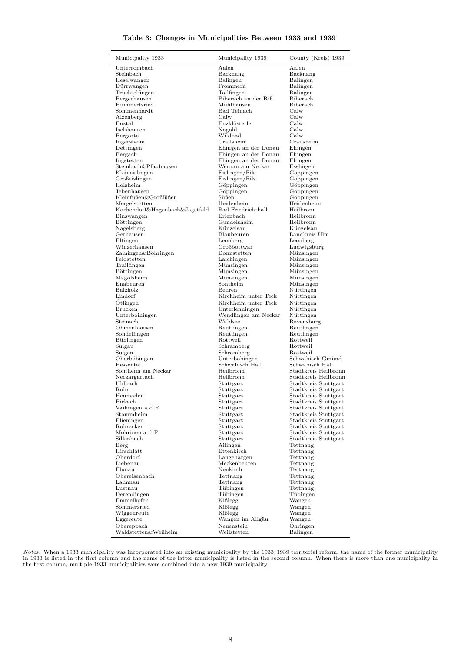## Table 3: Changes in Municipalities Between 1933 and 1939

| Municipality 1933                            | Municipality 1939                | County (Kreis) 1939                          |
|----------------------------------------------|----------------------------------|----------------------------------------------|
| Unterrombach                                 | Aalen                            | Aalen                                        |
| Steinbach                                    | Backnang                         | Backnang                                     |
| Heselwangen                                  | Balingen                         | Balingen                                     |
| Dürrwangen                                   | Frommern<br>Tailfingen           | Balingen                                     |
| Truchtelfingen<br>Bergerhausen               | Biberach an der Riß              | Balingen<br>Biberach                         |
| Hummertsried                                 | Mühlhausen                       | Biberach                                     |
| Sommenhardt                                  | <b>Bad Teinach</b>               | Calw                                         |
| Alzenberg                                    | Calw                             | Calw                                         |
| Enztal                                       | Enzklösterle                     | Calw                                         |
| Iselshausen                                  | Nagold                           | Calw                                         |
| Bergorte                                     | Wildbad                          | Calw                                         |
| Ingersheim                                   | Crailsheim                       | Crailsheim                                   |
| Dettingen                                    | Ehingen an der Donau             | Ehingen                                      |
| Bergach                                      | Ehingen an der Donau             | Ehingen                                      |
| Ingstetten                                   | Ehingen an der Donau             | Ehingen                                      |
| Steinbach&Pfauhausen                         | Wernau am Neckar                 | Esslingen                                    |
| Kleineislingen                               | Eislingen/Fils                   | Göppingen                                    |
| Großeislingen                                | Eislingen/Fils                   | Göppingen                                    |
| Holzheim                                     | Göppingen                        | Göppingen                                    |
| Jebenhausen                                  | Göppingen                        | Göppingen                                    |
| Kleinfüßen&Großfüßen                         | Süßen                            | Göppingen                                    |
| Mergelstetten                                | Heidenheim<br>Bad Friedrichshall | Heidenheim<br>Heilbronn                      |
| Kochendorf&Hagenbach&Jagstfeld<br>Binswangen | Erlenbach                        | Heilbronn                                    |
| Böttingen                                    | Gundelsheim                      | Heilbronn                                    |
| Nagelsberg                                   | Künzelsau                        | Künzelsau                                    |
| Gerhausen                                    | Blaubeuren                       | Landkreis Ulm                                |
| Eltingen                                     | Leonberg                         | Leonberg                                     |
| Winzerhausen                                 | Großbottwar                      | Ludwigsburg                                  |
| Zainingen&Böhringen                          | Donnstetten                      | Münsingen                                    |
| Feldstetten                                  | Laichingen                       | Münsingen                                    |
| Trailfingen                                  | Münsingen                        | Münsingen                                    |
| Böttingen                                    | Münsingen                        | Münsingen                                    |
| Magolsheim                                   | Münsingen                        | Münsingen                                    |
| Enabeuren                                    | Sontheim                         | Münsingen                                    |
| Balzholz                                     | Beuren                           | Nürtingen                                    |
| Lindorf                                      | Kirchheim unter Teck             | Nürtingen                                    |
| Ötlingen                                     | Kirchheim unter Teck             | Nürtingen                                    |
| Brucken                                      | Unterlenningen                   | Nürtingen                                    |
| Unterboihingen                               | Wendlingen am Neckar             | Nürtingen                                    |
| Steinach                                     | Waldsee                          | Ravensburg                                   |
| Ohmenhausen<br>Sondelfingen                  | Reutlingen<br>Reutlingen         | Reutlingen<br>Reutlingen                     |
| Bühlingen                                    | Rottweil                         | Rottweil                                     |
| Sulgau                                       | Schramberg                       | Rottweil                                     |
| Sulgen                                       | Schramberg                       | Rottweil                                     |
| Oberböbingen                                 | Unterböbingen                    | Schwäbisch Gmünd                             |
| Hessental                                    | Schwäbisch Hall                  | Schwäbisch Hall                              |
| Sontheim am Neckar                           | Heilbronn                        | Stadtkreis Heilbronn                         |
| Neckargartach                                | Heilbronn                        | Stadtkreis Heilbronn                         |
| Uhlbach                                      | Stuttgart                        | Stadtkreis Stuttgart                         |
| Rohr                                         | Stuttgart                        | Stadtkreis Stuttgart                         |
| Heumaden                                     | $_{\text{Stuttgart}}$            | Stadtkreis Stuttgart                         |
| Birkach                                      | Stuttgart                        | Stadtkreis Stuttgart                         |
| Vaihingen a d F                              | Stuttgart                        | Stadtkreis Stuttgart                         |
| Stammheim                                    | Stuttgart                        | Stadtkreis Stuttgart                         |
| Plieningen<br>Rohracker                      | Stuttgart                        | Stadtkreis Stuttgart                         |
| Möhrinen a d F                               | Stuttgart<br>Stuttgart           | Stadtkreis Stuttgart<br>Stadtkreis Stuttgart |
| Sillenbuch                                   | Stuttgart                        | Stadtkreis Stuttgart                         |
| Berg                                         | Ailingen                         | Tettnang                                     |
| Hirschlatt                                   | Ettenkirch                       | Tettnang                                     |
| Oberdorf                                     | Langenargen                      | Tettnang                                     |
| Liebenau                                     | Meckenbeuren                     | Tettnang                                     |
| Flunau                                       | Neukirch                         | Tettnang                                     |
| Obereisenbach                                | Tettnang                         | Tettnang                                     |
| Laimnau                                      | Tettnang                         | Tettnang                                     |
| Lustnau                                      | Tübingen                         | Tettnang                                     |
| Derendingen                                  | Tübingen                         | Tübingen                                     |
| Emmelhofen                                   | Kißlegg                          | Wangen                                       |
| Sommersried                                  | Kißlegg                          | Wangen                                       |
| Wiggenreute                                  | Kißlegg                          | Wangen                                       |
| Eggereute                                    | Wangen im Allgäu                 | Wangen                                       |
| Obereppach                                   | Neuenstein                       | Öhringen                                     |
| Waldstetten&Weilheim                         | Weilstetten                      | Balingen                                     |

Notes: When a 1933 municipality was incorporated into an existing municipality by the 1933–1939 territorial reform, the name of the former municipality<br>in 1933 is listed in the first column and the name of the latter munic the first column, multiple 1933 municipalities were combined into a new 1939 municipality.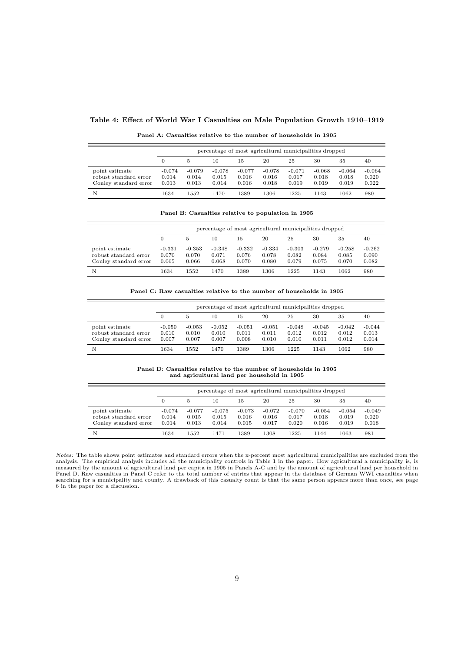## Table 4: Effect of World War I Casualties on Male Population Growth 1910–1919

|                                                                  |                            | percentage of most agricultural municipalities dropped |                            |                            |                            |                            |                            |                            |                            |  |  |  |
|------------------------------------------------------------------|----------------------------|--------------------------------------------------------|----------------------------|----------------------------|----------------------------|----------------------------|----------------------------|----------------------------|----------------------------|--|--|--|
|                                                                  |                            |                                                        | 10                         | 15                         | 20                         | 25                         | 30                         | 35                         | 40                         |  |  |  |
| point estimate<br>robust standard error<br>Conley standard error | $-0.074$<br>0.014<br>0.013 | $-0.079$<br>0.014<br>0.013                             | $-0.078$<br>0.015<br>0.014 | $-0.077$<br>0.016<br>0.016 | $-0.078$<br>0.016<br>0.018 | $-0.071$<br>0.017<br>0.019 | $-0.068$<br>0.018<br>0.019 | $-0.064$<br>0.018<br>0.019 | $-0.064$<br>0.020<br>0.022 |  |  |  |
| N                                                                | 1634                       | 1552                                                   | 1470                       | 1389                       | 1306                       | 1225                       | 1143                       | 1062                       | 980                        |  |  |  |

Panel A: Casualties relative to the number of households in 1905

Panel B: Casualties relative to population in 1905

|                                                                  |                            | percentage of most agricultural municipalities dropped |                            |                            |                            |                            |                            |                            |                            |  |  |  |
|------------------------------------------------------------------|----------------------------|--------------------------------------------------------|----------------------------|----------------------------|----------------------------|----------------------------|----------------------------|----------------------------|----------------------------|--|--|--|
|                                                                  |                            | 5                                                      | 10                         | 15                         | 20                         | 25                         | 30                         | 35                         | 40                         |  |  |  |
| point estimate<br>robust standard error<br>Conley standard error | $-0.331$<br>0.070<br>0.065 | $-0.353$<br>0.070<br>0.066                             | $-0.348$<br>0.071<br>0.068 | $-0.332$<br>0.076<br>0.070 | $-0.334$<br>0.078<br>0.080 | $-0.303$<br>0.082<br>0.079 | $-0.279$<br>0.084<br>0.075 | $-0.258$<br>0.085<br>0.070 | $-0.262$<br>0.090<br>0.082 |  |  |  |
| N                                                                | 1634                       | 1552                                                   | 1470                       | 1389                       | 1306                       | 1225                       | 1143                       | 1062                       | 980                        |  |  |  |

Panel C: Raw casualties relative to the number of households in 1905

|                                                                  |                            | percentage of most agricultural municipalities dropped |                            |                            |                            |                            |                            |                            |                            |  |  |  |
|------------------------------------------------------------------|----------------------------|--------------------------------------------------------|----------------------------|----------------------------|----------------------------|----------------------------|----------------------------|----------------------------|----------------------------|--|--|--|
|                                                                  | $\theta$                   | 5                                                      | 10                         | 15                         | 20                         | 25                         | 30                         | 35                         | 40                         |  |  |  |
| point estimate<br>robust standard error<br>Conley standard error | $-0.050$<br>0.010<br>0.007 | $-0.053$<br>0.010<br>0.007                             | $-0.052$<br>0.010<br>0.007 | $-0.051$<br>0.011<br>0.008 | $-0.051$<br>0.011<br>0.010 | $-0.048$<br>0.012<br>0.010 | $-0.045$<br>0.012<br>0.011 | $-0.042$<br>0.012<br>0.012 | $-0.044$<br>0.013<br>0.014 |  |  |  |
| N                                                                | 1634                       | 1552                                                   | 1470                       | 1389                       | 1306                       | 1225                       | 1143                       | 1062                       | 980                        |  |  |  |

Panel D: Casualties relative to the number of households in 1905 and agricultural land per household in 1905

|                                                                  |                            | percentage of most agricultural municipalities dropped |                            |                            |                            |                            |                            |                            |                            |  |  |  |  |
|------------------------------------------------------------------|----------------------------|--------------------------------------------------------|----------------------------|----------------------------|----------------------------|----------------------------|----------------------------|----------------------------|----------------------------|--|--|--|--|
|                                                                  |                            | 5                                                      | 10                         | 15                         | 20                         | 25                         | 30                         | 35                         | 40                         |  |  |  |  |
| point estimate<br>robust standard error<br>Conley standard error | $-0.074$<br>0.014<br>0.014 | $-0.077$<br>0.015<br>0.013                             | $-0.075$<br>0.015<br>0.014 | $-0.073$<br>0.016<br>0.015 | $-0.072$<br>0.016<br>0.017 | $-0.070$<br>0.017<br>0.020 | $-0.054$<br>0.018<br>0.016 | $-0.054$<br>0.019<br>0.019 | $-0.049$<br>0.020<br>0.018 |  |  |  |  |
| N                                                                | 1634                       | 1552                                                   | 1471                       | 1389                       | 1308                       | 1225                       | 1144                       | 1063                       | 981                        |  |  |  |  |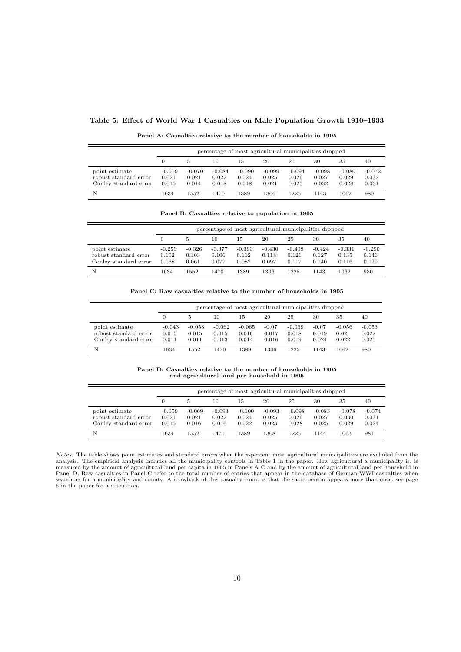## Table 5: Effect of World War I Casualties on Male Population Growth 1910–1933

| Panel A: Casualties relative to the number of households in 1905 |  |  |  |  |  |
|------------------------------------------------------------------|--|--|--|--|--|
|------------------------------------------------------------------|--|--|--|--|--|

|                                                                  |                            | percentage of most agricultural municipalities dropped |                            |                            |                            |                            |                            |                            |                            |  |  |
|------------------------------------------------------------------|----------------------------|--------------------------------------------------------|----------------------------|----------------------------|----------------------------|----------------------------|----------------------------|----------------------------|----------------------------|--|--|
|                                                                  | 0                          | 5.                                                     | 10                         | 15                         | 20                         | 25                         | 30                         | 35                         | 40                         |  |  |
| point estimate<br>robust standard error<br>Conley standard error | $-0.059$<br>0.021<br>0.015 | $-0.070$<br>0.021<br>0.014                             | $-0.084$<br>0.022<br>0.018 | $-0.090$<br>0.024<br>0.018 | $-0.099$<br>0.025<br>0.021 | $-0.094$<br>0.026<br>0.025 | $-0.098$<br>0.027<br>0.032 | $-0.080$<br>0.029<br>0.028 | $-0.072$<br>0.032<br>0.031 |  |  |
| N                                                                | 1634                       | 1552                                                   | 1470                       | 1389                       | 1306                       | 1225                       | 1143                       | 1062                       | 980                        |  |  |

Panel B: Casualties relative to population in 1905

|                                                                  | percentage of most agricultural municipalities dropped |                            |                            |                            |                            |                            |                            |                            |                            |  |
|------------------------------------------------------------------|--------------------------------------------------------|----------------------------|----------------------------|----------------------------|----------------------------|----------------------------|----------------------------|----------------------------|----------------------------|--|
|                                                                  |                                                        | 5                          | 10                         | 15                         | 20                         | 25                         | 30                         | 35                         | 40                         |  |
| point estimate<br>robust standard error<br>Conley standard error | $-0.259$<br>0.102<br>0.068                             | $-0.326$<br>0.103<br>0.061 | $-0.377$<br>0.106<br>0.077 | $-0.393$<br>0.112<br>0.082 | $-0.430$<br>0.118<br>0.097 | $-0.408$<br>0.121<br>0.117 | $-0.424$<br>0.127<br>0.140 | $-0.331$<br>0.135<br>0.116 | $-0.290$<br>0.146<br>0.129 |  |
| N                                                                | 1634                                                   | 1552                       | 1470                       | 1389                       | 1306                       | 1225                       | 1143                       | 1062                       | 980                        |  |

| Panel C: Raw casualties relative to the number of households in 1905 |
|----------------------------------------------------------------------|
|----------------------------------------------------------------------|

|                                                                  |                            | percentage of most agricultural municipalities dropped |                            |                            |                           |                            |                           |                           |                            |  |  |
|------------------------------------------------------------------|----------------------------|--------------------------------------------------------|----------------------------|----------------------------|---------------------------|----------------------------|---------------------------|---------------------------|----------------------------|--|--|
|                                                                  |                            | 5                                                      | 10                         | 15                         | 20                        | 25                         | 30                        | 35                        | 40                         |  |  |
| point estimate<br>robust standard error<br>Conley standard error | $-0.043$<br>0.015<br>0.011 | $-0.053$<br>0.015<br>0.011                             | $-0.062$<br>0.015<br>0.013 | $-0.065$<br>0.016<br>0.014 | $-0.07$<br>0.017<br>0.016 | $-0.069$<br>0.018<br>0.019 | $-0.07$<br>0.019<br>0.024 | $-0.056$<br>0.02<br>0.022 | $-0.053$<br>0.022<br>0.025 |  |  |
| N                                                                | 1634                       | 1552                                                   | 1470                       | 1389                       | 1306                      | 1225                       | 1143                      | 1062                      | 980                        |  |  |

Panel D: Casualties relative to the number of households in 1905 and agricultural land per household in 1905

|                                                                  | percentage of most agricultural municipalities dropped |                            |                            |                            |                            |                            |                            |                            |                            |  |
|------------------------------------------------------------------|--------------------------------------------------------|----------------------------|----------------------------|----------------------------|----------------------------|----------------------------|----------------------------|----------------------------|----------------------------|--|
|                                                                  | 0                                                      | 5                          | 10                         | 15                         | 20                         | 25                         | 30                         | 35                         | 40                         |  |
| point estimate<br>robust standard error<br>Conley standard error | $-0.059$<br>0.021<br>0.015                             | $-0.069$<br>0.021<br>0.016 | $-0.093$<br>0.022<br>0.016 | $-0.100$<br>0.024<br>0.022 | $-0.093$<br>0.025<br>0.023 | $-0.098$<br>0.026<br>0.028 | $-0.083$<br>0.027<br>0.025 | $-0.078$<br>0.030<br>0.029 | $-0.074$<br>0.031<br>0.024 |  |
| N                                                                | 1634                                                   | 1552                       | 1471                       | 1389                       | 1308                       | 1225                       | 1144                       | 1063                       | 981                        |  |

*Notes:* The table shows point estimates and standard errors when the x-percent most agricultural municipalities are excluded from the analysis. The empirical analysis includes all the municipality controls in Table 1 in t Panel D. Raw casualties in Panel C refer to the total number of entries that appear in the database of German WWI casualties when<br>searching for a municipality and county. A drawback of this casualty count is that the same 6 in the paper for a discussion.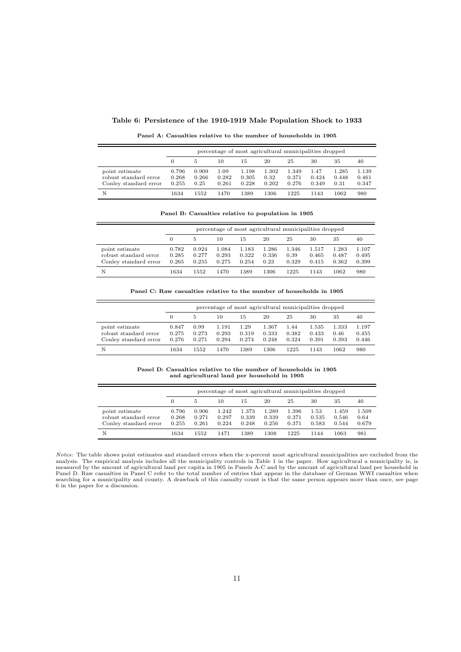#### Table 6: Persistence of the 1910-1919 Male Population Shock to 1933

percentage of most agricultural municipalities dropped 0 5 10 15 20 25 30 35 40  $\begin{tabular}{cccccccc} point estimate & 0.796 & 0.909 & 1.09 & 1.198 & 1.302 & 1.349 & 1.47 & 1.285 & 1.139\\ robust standard error & 0.268 & 0.266 & 0.282 & 0.305 & 0.32 & 0.371 & 0.424 & 0.448 & 0.461 \end{tabular}$ robust standard error 0.268 0.266 0.282 0.305 0.32 0.371 0.424 0.448 0.461 Conley standard error N 1634 1552 1470 1389 1306 1225 1143 1062 980

Panel A: Casualties relative to the number of households in 1905

Panel B: Casualties relative to population in 1905

|                                                                  | percentage of most agricultural municipalities dropped |                         |                         |                         |                        |                        |                         |                         |                         |  |  |
|------------------------------------------------------------------|--------------------------------------------------------|-------------------------|-------------------------|-------------------------|------------------------|------------------------|-------------------------|-------------------------|-------------------------|--|--|
|                                                                  |                                                        | 5                       | 10                      | 15                      | 20                     | 25                     | 30                      | 35                      | 40                      |  |  |
| point estimate<br>robust standard error<br>Conley standard error | 0.782<br>0.285<br>0.265                                | 0.924<br>0.277<br>0.255 | 1.084<br>0.293<br>0.275 | 1.183<br>0.322<br>0.254 | 1.286<br>0.336<br>0.23 | 1.346<br>0.39<br>0.329 | 1.517<br>0.465<br>0.415 | 1.283<br>0.487<br>0.362 | 1.107<br>0.495<br>0.399 |  |  |
| N                                                                | 1634                                                   | 1552                    | 1470                    | 1389                    | 1306                   | 1225                   | 1143                    | 1062                    | 980                     |  |  |

Panel C: Raw casualties relative to the number of households in 1905

|                                                                  |                         | percentage of most agricultural municipalities dropped |                         |                        |                         |                        |                         |                        |                         |  |  |
|------------------------------------------------------------------|-------------------------|--------------------------------------------------------|-------------------------|------------------------|-------------------------|------------------------|-------------------------|------------------------|-------------------------|--|--|
|                                                                  |                         | 5                                                      | 10                      | 15                     | 20                      | 25                     | 30                      | 35                     | 40                      |  |  |
| point estimate<br>robust standard error<br>Conley standard error | 0.847<br>0.275<br>0.276 | 0.99<br>0.273<br>0.271                                 | 1.191<br>0.293<br>0.294 | 1.29<br>0.319<br>0.274 | 1.367<br>0.333<br>0.248 | 1.44<br>0.382<br>0.324 | 1.535<br>0.433<br>0.391 | 1.333<br>0.46<br>0.393 | 1.197<br>0.455<br>0.446 |  |  |
| N                                                                | 1634                    | 1552                                                   | 1470                    | 1389                   | 1306                    | 1225                   | 1143                    | 1062                   | 980                     |  |  |

Panel D: Casualties relative to the number of households in 1905 and agricultural land per household in 1905

|                                                                  | percentage of most agricultural municipalities dropped |                         |                         |                         |                         |                         |                        |                         |                        |  |  |
|------------------------------------------------------------------|--------------------------------------------------------|-------------------------|-------------------------|-------------------------|-------------------------|-------------------------|------------------------|-------------------------|------------------------|--|--|
|                                                                  |                                                        | 5                       | 10                      | 15                      | 20                      | 25                      | 30                     | 35                      | 40                     |  |  |
| point estimate<br>robust standard error<br>Conley standard error | 0.796<br>0.268<br>0.255                                | 0.906<br>0.271<br>0.261 | 1.242<br>0.297<br>0.224 | 1.373<br>0.339<br>0.248 | 1.289<br>0.339<br>0.256 | 1.396<br>0.371<br>0.371 | 1.53<br>0.535<br>0.583 | 1.459<br>0.546<br>0.544 | 1.509<br>0.64<br>0.679 |  |  |
| N                                                                | 1634                                                   | 1552                    | 1471                    | 1389                    | 1308                    | 1225                    | 1144                   | 1063                    | 981                    |  |  |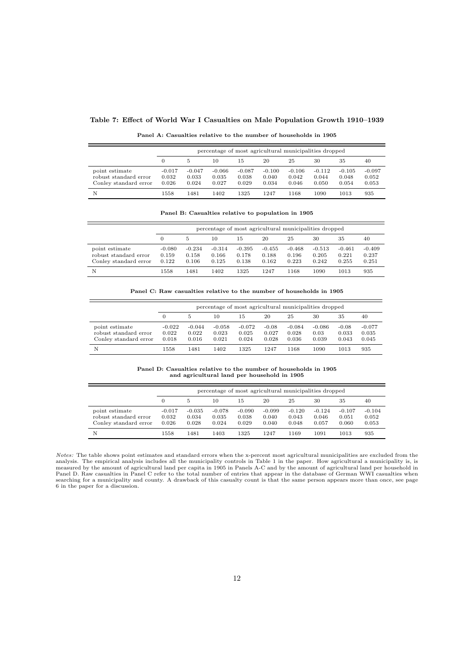#### Table 7: Effect of World War I Casualties on Male Population Growth 1910–1939

|                                                                  | percentage of most agricultural municipalities dropped |                            |                            |                            |                            |                            |                            |                            |                            |  |  |
|------------------------------------------------------------------|--------------------------------------------------------|----------------------------|----------------------------|----------------------------|----------------------------|----------------------------|----------------------------|----------------------------|----------------------------|--|--|
|                                                                  |                                                        |                            | 10                         | 15                         | 20                         | 25                         | 30                         | 35                         | 40                         |  |  |
| point estimate<br>robust standard error<br>Conley standard error | $-0.017$<br>0.032<br>0.026                             | $-0.047$<br>0.033<br>0.024 | $-0.066$<br>0.035<br>0.027 | $-0.087$<br>0.038<br>0.029 | $-0.100$<br>0.040<br>0.034 | $-0.106$<br>0.042<br>0.046 | $-0.112$<br>0.044<br>0.050 | $-0.105$<br>0.048<br>0.054 | $-0.097$<br>0.052<br>0.053 |  |  |

N 1558 1481 1402 1325 1247 1168 1090 1013 935

Panel A: Casualties relative to the number of households in 1905

Panel B: Casualties relative to population in 1905

|                                                                  |                            | percentage of most agricultural municipalities dropped |                            |                            |                            |                            |                            |                            |                            |  |  |  |
|------------------------------------------------------------------|----------------------------|--------------------------------------------------------|----------------------------|----------------------------|----------------------------|----------------------------|----------------------------|----------------------------|----------------------------|--|--|--|
|                                                                  | $\Omega$                   | 5                                                      | 10                         | 15                         | 20                         | 25                         | 30                         | 35                         | 40                         |  |  |  |
| point estimate<br>robust standard error<br>Conley standard error | $-0.080$<br>0.159<br>0.122 | $-0.234$<br>0.158<br>0.106                             | $-0.314$<br>0.166<br>0.125 | $-0.395$<br>0.178<br>0.138 | $-0.455$<br>0.188<br>0.162 | $-0.468$<br>0.196<br>0.223 | $-0.513$<br>0.205<br>0.242 | $-0.461$<br>0.221<br>0.255 | $-0.409$<br>0.237<br>0.251 |  |  |  |
| N                                                                | 1558                       | 1481                                                   | 1402                       | 1325                       | 1247                       | 1168                       | 1090                       | 1013                       | 935                        |  |  |  |

Panel C: Raw casualties relative to the number of households in 1905

|                                                                  |                            | percentage of most agricultural municipalities dropped |                            |                            |                           |                            |                           |                           |                            |  |  |
|------------------------------------------------------------------|----------------------------|--------------------------------------------------------|----------------------------|----------------------------|---------------------------|----------------------------|---------------------------|---------------------------|----------------------------|--|--|
|                                                                  |                            |                                                        | 10                         | 15                         | 20                        | 25                         | 30                        | 35                        | 40                         |  |  |
| point estimate<br>robust standard error<br>Conley standard error | $-0.022$<br>0.022<br>0.018 | $-0.044$<br>0.022<br>0.016                             | $-0.058$<br>0.023<br>0.021 | $-0.072$<br>0.025<br>0.024 | $-0.08$<br>0.027<br>0.028 | $-0.084$<br>0.028<br>0.036 | $-0.086$<br>0.03<br>0.039 | $-0.08$<br>0.033<br>0.043 | $-0.077$<br>0.035<br>0.045 |  |  |
| N                                                                | 1558                       | 1481                                                   | 1402                       | 1325                       | 1247                      | 1168                       | 1090                      | 1013                      | 935                        |  |  |

Panel D: Casualties relative to the number of households in 1905 and agricultural land per household in 1905

|                                                                  | percentage of most agricultural municipalities dropped |                            |                            |                            |                            |                            |                            |                            |                            |  |
|------------------------------------------------------------------|--------------------------------------------------------|----------------------------|----------------------------|----------------------------|----------------------------|----------------------------|----------------------------|----------------------------|----------------------------|--|
|                                                                  |                                                        | 5                          | 10                         | 15                         | 20                         | 25                         | 30                         | 35                         | 40                         |  |
| point estimate<br>robust standard error<br>Conley standard error | $-0.017$<br>0.032<br>0.026                             | $-0.035$<br>0.034<br>0.028 | $-0.078$<br>0.035<br>0.024 | $-0.090$<br>0.038<br>0.029 | $-0.099$<br>0.040<br>0.040 | $-0.120$<br>0.043<br>0.048 | $-0.124$<br>0.046<br>0.057 | $-0.107$<br>0.051<br>0.060 | $-0.104$<br>0.052<br>0.053 |  |
| N                                                                | 1558                                                   | 1481                       | 1403                       | 1325                       | 1247                       | 1169                       | 1091                       | 1013                       | 935                        |  |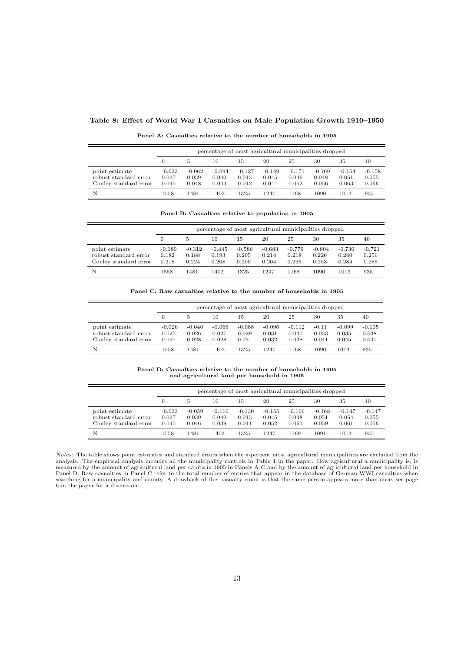#### Table 8: Effect of World War I Casualties on Male Population Growth 1910–1950

| Panel A: Casualties relative to the number of households in 1905 |  |  |  |  |  |
|------------------------------------------------------------------|--|--|--|--|--|
|------------------------------------------------------------------|--|--|--|--|--|

|                                                                  |                            | percentage of most agricultural municipalities dropped |                            |                            |                            |                            |                            |                            |                            |  |  |
|------------------------------------------------------------------|----------------------------|--------------------------------------------------------|----------------------------|----------------------------|----------------------------|----------------------------|----------------------------|----------------------------|----------------------------|--|--|
|                                                                  | 0                          | 5.                                                     | 10                         | 15                         | 20                         | 25                         | 30                         | 35                         | 40                         |  |  |
| point estimate<br>robust standard error<br>Conley standard error | $-0.033$<br>0.037<br>0.045 | $-0.062$<br>0.039<br>0.048                             | $-0.094$<br>0.040<br>0.044 | $-0.127$<br>0.043<br>0.042 | $-0.149$<br>0.045<br>0.044 | $-0.171$<br>0.046<br>0.052 | $-0.169$<br>0.048<br>0.056 | $-0.154$<br>0.051<br>0.063 | $-0.158$<br>0.055<br>0.066 |  |  |
| N                                                                | 1558                       | 1481                                                   | 1402                       | 1325                       | 1247                       | 1168                       | 1090                       | 1013                       | 935                        |  |  |

Panel B: Casualties relative to population in 1905

|                                                                  |                            | percentage of most agricultural municipalities dropped |                            |                            |                            |                            |                            |                            |                            |  |  |
|------------------------------------------------------------------|----------------------------|--------------------------------------------------------|----------------------------|----------------------------|----------------------------|----------------------------|----------------------------|----------------------------|----------------------------|--|--|
|                                                                  |                            | 5                                                      | 10                         | 15                         | 20                         | 25                         | 30                         | 35                         | 40                         |  |  |
| point estimate<br>robust standard error<br>Conley standard error | $-0.180$<br>0.182<br>0.215 | $-0.312$<br>0.188<br>0.224                             | $-0.445$<br>0.193<br>0.208 | $-0.586$<br>0.205<br>0.200 | $-0.683$<br>0.214<br>0.204 | $-0.779$<br>0.218<br>0.236 | $-0.804$<br>0.226<br>0.253 | $-0.730$<br>0.240<br>0.284 | $-0.721$<br>0.256<br>0.285 |  |  |
| N                                                                | 1558                       | 1481                                                   | 1402                       | 1325                       | 1247                       | 1168                       | 1090                       | 1013                       | 935                        |  |  |

Panel C: Raw casualties relative to the number of households in 1905

|                                                                  |                            | percentage of most agricultural municipalities dropped |                            |                           |                            |                            |                           |                            |                            |  |  |
|------------------------------------------------------------------|----------------------------|--------------------------------------------------------|----------------------------|---------------------------|----------------------------|----------------------------|---------------------------|----------------------------|----------------------------|--|--|
|                                                                  |                            | 5                                                      | 10                         | 15                        | 20                         | 25                         | 30                        | 35                         | 40                         |  |  |
| point estimate<br>robust standard error<br>Conley standard error | $-0.026$<br>0.025<br>0.027 | $-0.046$<br>0.026<br>0.028                             | $-0.068$<br>0.027<br>0.028 | $-0.088$<br>0.029<br>0.03 | $-0.096$<br>0.031<br>0.032 | $-0.112$<br>0.031<br>0.038 | $-0.11$<br>0.033<br>0.041 | $-0.099$<br>0.035<br>0.045 | $-0.105$<br>0.038<br>0.047 |  |  |
| N                                                                | 1558                       | 1481                                                   | 1402                       | 1325                      | 1247                       | 1168                       | 1090                      | 1013                       | 935                        |  |  |

Panel D: Casualties relative to the number of households in 1905 and agricultural land per household in 1905

|                                                                  |                            | percentage of most agricultural municipalities dropped |                            |                            |                            |                            |                            |                            |                            |  |  |
|------------------------------------------------------------------|----------------------------|--------------------------------------------------------|----------------------------|----------------------------|----------------------------|----------------------------|----------------------------|----------------------------|----------------------------|--|--|
|                                                                  | 0                          | 5                                                      | 10                         | 15                         | 20                         | 25                         | 30                         | 35                         | 40                         |  |  |
| point estimate<br>robust standard error<br>Conley standard error | $-0.033$<br>0.037<br>0.045 | $-0.059$<br>0.039<br>0.046                             | $-0.110$<br>0.040<br>0.039 | $-0.130$<br>0.043<br>0.041 | $-0.155$<br>0.045<br>0.052 | $-0.166$<br>0.048<br>0.061 | $-0.168$<br>0.051<br>0.059 | $-0.147$<br>0.054<br>0.061 | $-0.147$<br>0.055<br>0.056 |  |  |
| N                                                                | 1558                       | 1481                                                   | 1403                       | 1325                       | 1247                       | 1169                       | 1091                       | 1013                       | 935                        |  |  |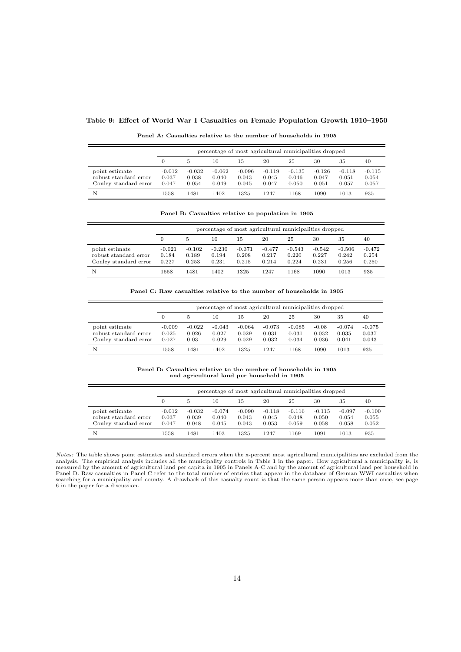#### Table 9: Effect of World War I Casualties on Female Population Growth 1910–1950

Panel A: Casualties relative to the number of households in 1905

|                                                                  |                            | percentage of most agricultural municipalities dropped |                            |                            |                            |                            |                            |                            |                            |  |  |
|------------------------------------------------------------------|----------------------------|--------------------------------------------------------|----------------------------|----------------------------|----------------------------|----------------------------|----------------------------|----------------------------|----------------------------|--|--|
|                                                                  | 0                          | 5                                                      | 10                         | 15                         | 20                         | 25                         | 30                         | 35                         | 40                         |  |  |
| point estimate<br>robust standard error<br>Conley standard error | $-0.012$<br>0.037<br>0.047 | $-0.032$<br>0.038<br>0.054                             | $-0.062$<br>0.040<br>0.049 | $-0.096$<br>0.043<br>0.045 | $-0.119$<br>0.045<br>0.047 | $-0.135$<br>0.046<br>0.050 | $-0.126$<br>0.047<br>0.051 | $-0.118$<br>0.051<br>0.057 | $-0.115$<br>0.054<br>0.057 |  |  |
| N                                                                | 1558                       | 1481                                                   | 1402                       | 1325                       | 1247                       | 1168                       | 1090                       | 1013                       | 935                        |  |  |

Panel B: Casualties relative to population in 1905

|                                                                  |                            | percentage of most agricultural municipalities dropped |                            |                            |                            |                            |                            |                            |                            |  |  |
|------------------------------------------------------------------|----------------------------|--------------------------------------------------------|----------------------------|----------------------------|----------------------------|----------------------------|----------------------------|----------------------------|----------------------------|--|--|
|                                                                  |                            | 5                                                      | 10                         | 15                         | 20                         | 25                         | 30                         | 35                         | 40                         |  |  |
| point estimate<br>robust standard error<br>Conley standard error | $-0.021$<br>0.184<br>0.227 | $-0.102$<br>0.189<br>0.253                             | $-0.230$<br>0.194<br>0.231 | $-0.371$<br>0.208<br>0.215 | $-0.477$<br>0.217<br>0.214 | $-0.543$<br>0.220<br>0.224 | $-0.542$<br>0.227<br>0.231 | $-0.506$<br>0.242<br>0.256 | $-0.472$<br>0.254<br>0.250 |  |  |
| N                                                                | 1558                       | 1481                                                   | 1402                       | 1325                       | 1247                       | 1168                       | 1090                       | 1013                       | 935                        |  |  |

Panel C: Raw casualties relative to the number of households in 1905

|                                                                  |                            | percentage of most agricultural municipalities dropped |                            |                            |                            |                            |                           |                            |                            |  |  |
|------------------------------------------------------------------|----------------------------|--------------------------------------------------------|----------------------------|----------------------------|----------------------------|----------------------------|---------------------------|----------------------------|----------------------------|--|--|
|                                                                  |                            | 5                                                      | 10                         | 15                         | 20                         | 25                         | 30                        | 35                         | 40                         |  |  |
| point estimate<br>robust standard error<br>Conley standard error | $-0.009$<br>0.025<br>0.027 | $-0.022$<br>0.026<br>0.03                              | $-0.043$<br>0.027<br>0.029 | $-0.064$<br>0.029<br>0.029 | $-0.073$<br>0.031<br>0.032 | $-0.085$<br>0.031<br>0.034 | $-0.08$<br>0.032<br>0.036 | $-0.074$<br>0.035<br>0.041 | $-0.075$<br>0.037<br>0.043 |  |  |
| N                                                                | 1558                       | 1481                                                   | 1402                       | 1325                       | 1247                       | 1168                       | 1090                      | 1013                       | 935                        |  |  |

Panel D: Casualties relative to the number of households in 1905 and agricultural land per household in 1905

|                                                                  |                            | percentage of most agricultural municipalities dropped |                            |                            |                            |                            |                            |                            |                            |  |  |
|------------------------------------------------------------------|----------------------------|--------------------------------------------------------|----------------------------|----------------------------|----------------------------|----------------------------|----------------------------|----------------------------|----------------------------|--|--|
|                                                                  | 0                          | 5                                                      | 10                         | 15                         | 20                         | 25                         | 30                         | 35                         | 40                         |  |  |
| point estimate<br>robust standard error<br>Conley standard error | $-0.012$<br>0.037<br>0.047 | $-0.032$<br>0.039<br>0.048                             | $-0.074$<br>0.040<br>0.045 | $-0.090$<br>0.043<br>0.043 | $-0.118$<br>0.045<br>0.053 | $-0.116$<br>0.048<br>0.059 | $-0.115$<br>0.050<br>0.058 | $-0.097$<br>0.054<br>0.058 | $-0.100$<br>0.055<br>0.052 |  |  |
| N                                                                | 1558                       | 1481                                                   | 1403                       | 1325                       | 1247                       | 1169                       | 1091                       | 1013                       | 935                        |  |  |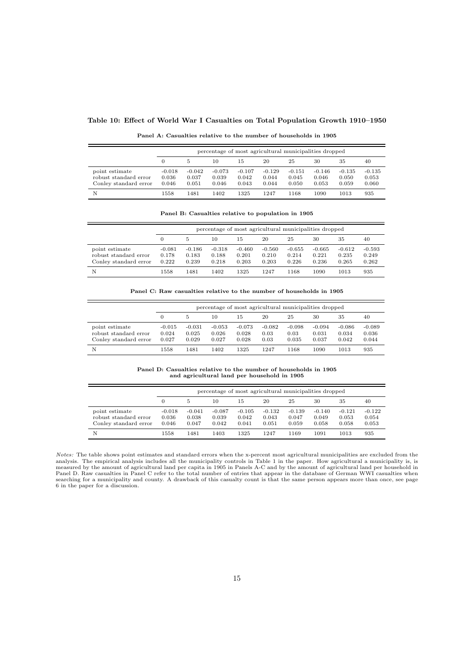#### Table 10: Effect of World War I Casualties on Total Population Growth 1910–1950

| Panel A: Casualties relative to the number of households in 1905 |  |  |  |  |
|------------------------------------------------------------------|--|--|--|--|
|------------------------------------------------------------------|--|--|--|--|

|                                                                  |                            | percentage of most agricultural municipalities dropped |                            |                            |                            |                            |                            |                            |                            |  |  |
|------------------------------------------------------------------|----------------------------|--------------------------------------------------------|----------------------------|----------------------------|----------------------------|----------------------------|----------------------------|----------------------------|----------------------------|--|--|
|                                                                  |                            | 5                                                      | 10                         | 15                         | 20                         | 25                         | 30                         | 35                         | 40                         |  |  |
| point estimate<br>robust standard error<br>Conley standard error | $-0.018$<br>0.036<br>0.046 | $-0.042$<br>0.037<br>0.051                             | $-0.073$<br>0.039<br>0.046 | $-0.107$<br>0.042<br>0.043 | $-0.129$<br>0.044<br>0.044 | $-0.151$<br>0.045<br>0.050 | $-0.146$<br>0.046<br>0.053 | $-0.135$<br>0.050<br>0.059 | $-0.135$<br>0.053<br>0.060 |  |  |
| N                                                                | 1558                       | 1481                                                   | 1402                       | 1325                       | 1247                       | 1168                       | 1090                       | 1013                       | 935                        |  |  |

Panel B: Casualties relative to population in 1905

|                                                                  |                            | percentage of most agricultural municipalities dropped |                            |                            |                            |                            |                            |                            |                            |  |  |
|------------------------------------------------------------------|----------------------------|--------------------------------------------------------|----------------------------|----------------------------|----------------------------|----------------------------|----------------------------|----------------------------|----------------------------|--|--|
|                                                                  | 0                          | 5                                                      | 10                         | 15                         | 20                         | 25                         | 30                         | 35                         | 40                         |  |  |
| point estimate<br>robust standard error<br>Conley standard error | $-0.081$<br>0.178<br>0.222 | $-0.186$<br>0.183<br>0.239                             | $-0.318$<br>0.188<br>0.218 | $-0.460$<br>0.201<br>0.203 | $-0.560$<br>0.210<br>0.203 | $-0.655$<br>0.214<br>0.226 | $-0.665$<br>0.221<br>0.236 | $-0.612$<br>0.235<br>0.265 | $-0.593$<br>0.249<br>0.262 |  |  |
| N                                                                | 1558                       | 1481                                                   | 1402                       | 1325                       | 1247                       | 1168                       | 1090                       | 1013                       | 935                        |  |  |

Panel C: Raw casualties relative to the number of households in 1905

|                                                                  |                            | percentage of most agricultural municipalities dropped |                            |                            |                          |                           |                            |                            |                            |  |  |  |
|------------------------------------------------------------------|----------------------------|--------------------------------------------------------|----------------------------|----------------------------|--------------------------|---------------------------|----------------------------|----------------------------|----------------------------|--|--|--|
|                                                                  | 0                          |                                                        | 10                         | 15                         | 20                       | 25                        | 30                         | 35                         | 40                         |  |  |  |
| point estimate<br>robust standard error<br>Conley standard error | $-0.015$<br>0.024<br>0.027 | $-0.031$<br>0.025<br>0.029                             | $-0.053$<br>0.026<br>0.027 | $-0.073$<br>0.028<br>0.028 | $-0.082$<br>0.03<br>0.03 | $-0.098$<br>0.03<br>0.035 | $-0.094$<br>0.031<br>0.037 | $-0.086$<br>0.034<br>0.042 | $-0.089$<br>0.036<br>0.044 |  |  |  |
| N                                                                | 1558                       | 1481                                                   | 1402                       | 1325                       | 1247                     | 1168                      | 1090                       | 1013                       | 935                        |  |  |  |

Panel D: Casualties relative to the number of households in 1905 and agricultural land per household in 1905

|                                                                  |                            | percentage of most agricultural municipalities dropped |                            |                            |                            |                            |                            |                            |                            |  |  |  |
|------------------------------------------------------------------|----------------------------|--------------------------------------------------------|----------------------------|----------------------------|----------------------------|----------------------------|----------------------------|----------------------------|----------------------------|--|--|--|
|                                                                  |                            | 5                                                      | 10                         | 15                         | 20                         | 25                         | 30                         | 35                         | 40                         |  |  |  |
| point estimate<br>robust standard error<br>Conley standard error | $-0.018$<br>0.036<br>0.046 | $-0.041$<br>0.038<br>0.047                             | $-0.087$<br>0.039<br>0.042 | $-0.105$<br>0.042<br>0.041 | $-0.132$<br>0.043<br>0.051 | $-0.139$<br>0.047<br>0.059 | $-0.140$<br>0.049<br>0.058 | $-0.121$<br>0.053<br>0.058 | $-0.122$<br>0.054<br>0.053 |  |  |  |
| N                                                                | 1558                       | 1481                                                   | 1403                       | 1325                       | 1247                       | 1169                       | 1091                       | 1013                       | 935                        |  |  |  |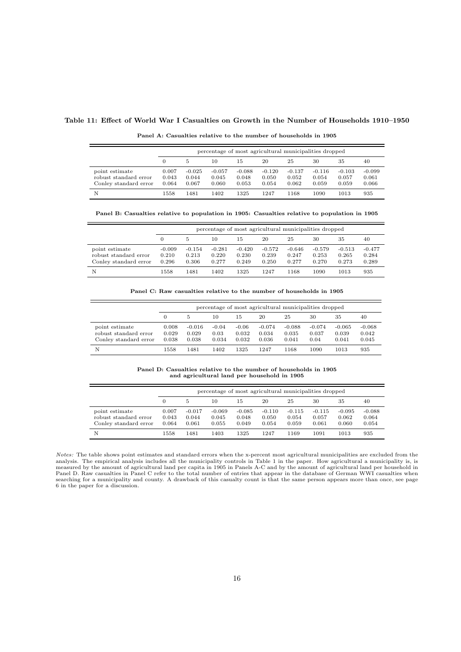#### Table 11: Effect of World War I Casualties on Growth in the Number of Households 1910–1950

|  | Panel A: Casualties relative to the number of households in 1905 |
|--|------------------------------------------------------------------|
|--|------------------------------------------------------------------|

|                                                                  |                         | percentage of most agricultural municipalities dropped |                            |                            |                            |                            |                            |                            |                            |  |  |  |
|------------------------------------------------------------------|-------------------------|--------------------------------------------------------|----------------------------|----------------------------|----------------------------|----------------------------|----------------------------|----------------------------|----------------------------|--|--|--|
|                                                                  | $\Omega$                | 5                                                      | 10                         | 15                         | 20                         | 25                         | 30                         | 35                         | 40                         |  |  |  |
| point estimate<br>robust standard error<br>Conley standard error | 0.007<br>0.043<br>0.064 | $-0.025$<br>0.044<br>0.067                             | $-0.057$<br>0.045<br>0.060 | $-0.088$<br>0.048<br>0.053 | $-0.120$<br>0.050<br>0.054 | $-0.137$<br>0.052<br>0.062 | $-0.116$<br>0.054<br>0.059 | $-0.103$<br>0.057<br>0.059 | $-0.099$<br>0.061<br>0.066 |  |  |  |
| N                                                                | 1558                    | 1481                                                   | 1402                       | 1325                       | 1247                       | 1168                       | 1090                       | 1013                       | 935                        |  |  |  |

Panel B: Casualties relative to population in 1905: Casualties relative to population in 1905

|                                                                  |                            | percentage of most agricultural municipalities dropped |                            |                            |                            |                            |                            |                            |                            |  |  |  |
|------------------------------------------------------------------|----------------------------|--------------------------------------------------------|----------------------------|----------------------------|----------------------------|----------------------------|----------------------------|----------------------------|----------------------------|--|--|--|
|                                                                  | 0                          | 5                                                      | 10                         | 15                         | 20                         | 25                         | 30                         | 35                         | 40                         |  |  |  |
| point estimate<br>robust standard error<br>Conley standard error | $-0.009$<br>0.210<br>0.296 | $-0.154$<br>0.213<br>0.306                             | $-0.281$<br>0.220<br>0.277 | $-0.420$<br>0.230<br>0.249 | $-0.572$<br>0.239<br>0.250 | $-0.646$<br>0.247<br>0.277 | $-0.579$<br>0.253<br>0.270 | $-0.513$<br>0.265<br>0.273 | $-0.477$<br>0.284<br>0.289 |  |  |  |
| N                                                                | 1558                       | 1481                                                   | 1402                       | 1325                       | 1247                       | 1168                       | 1090                       | 1013                       | 935                        |  |  |  |

Panel C: Raw casualties relative to the number of households in 1905

|                                                                  |                         | percentage of most agricultural municipalities dropped |                          |                           |                            |                            |                           |                            |                            |  |  |  |
|------------------------------------------------------------------|-------------------------|--------------------------------------------------------|--------------------------|---------------------------|----------------------------|----------------------------|---------------------------|----------------------------|----------------------------|--|--|--|
|                                                                  | 0                       | 5                                                      | 10                       | 15                        | 20                         | 25                         | 30                        | 35                         | 40                         |  |  |  |
| point estimate<br>robust standard error<br>Conley standard error | 0.008<br>0.029<br>0.038 | $-0.016$<br>0.029<br>0.038                             | $-0.04$<br>0.03<br>0.034 | $-0.06$<br>0.032<br>0.032 | $-0.074$<br>0.034<br>0.036 | $-0.088$<br>0.035<br>0.041 | $-0.074$<br>0.037<br>0.04 | $-0.065$<br>0.039<br>0.041 | $-0.068$<br>0.042<br>0.045 |  |  |  |
| N                                                                | 1558                    | 1481                                                   | 1402                     | 1325                      | 1247                       | 1168                       | 1090                      | 1013                       | 935                        |  |  |  |

Panel D: Casualties relative to the number of households in 1905 and agricultural land per household in 1905

|                                                                  |                         | percentage of most agricultural municipalities dropped |                            |                            |                            |                            |                            |                            |                            |  |  |  |
|------------------------------------------------------------------|-------------------------|--------------------------------------------------------|----------------------------|----------------------------|----------------------------|----------------------------|----------------------------|----------------------------|----------------------------|--|--|--|
|                                                                  | 0                       | 5                                                      | 10                         | 15                         | 20                         | 25                         | 30                         | 35                         | 40                         |  |  |  |
| point estimate<br>robust standard error<br>Conley standard error | 0.007<br>0.043<br>0.064 | $-0.017$<br>0.044<br>0.061                             | $-0.069$<br>0.045<br>0.055 | $-0.085$<br>0.048<br>0.049 | $-0.110$<br>0.050<br>0.054 | $-0.115$<br>0.054<br>0.059 | $-0.115$<br>0.057<br>0.061 | $-0.095$<br>0.062<br>0.060 | $-0.088$<br>0.064<br>0.054 |  |  |  |
| N                                                                | 1558                    | 1481                                                   | 1403                       | 1325                       | 1247                       | 1169                       | 1091                       | 1013                       | 935                        |  |  |  |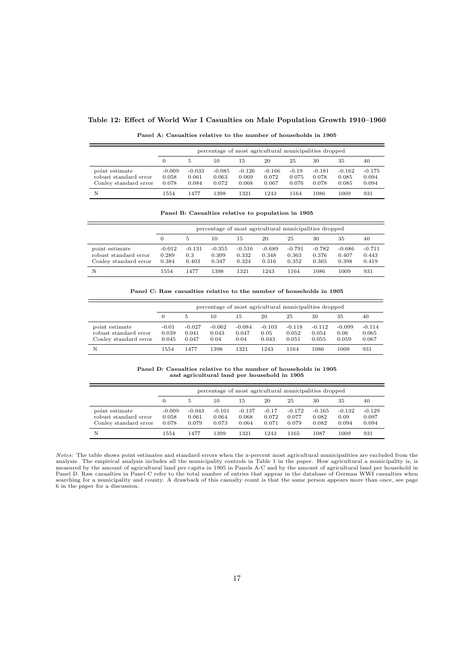#### Table 12: Effect of World War I Casualties on Male Population Growth 1910–1960

|  |  |  |  | Panel A: Casualties relative to the number of households in 1905 |  |
|--|--|--|--|------------------------------------------------------------------|--|
|  |  |  |  |                                                                  |  |

|                                                                  |                            | percentage of most agricultural municipalities dropped |                            |                            |                            |                           |                            |                            |                            |  |  |  |
|------------------------------------------------------------------|----------------------------|--------------------------------------------------------|----------------------------|----------------------------|----------------------------|---------------------------|----------------------------|----------------------------|----------------------------|--|--|--|
|                                                                  | 0                          | 5                                                      | 10                         | 15                         | 20                         | 25                        | 30                         | 35                         | 40                         |  |  |  |
| point estimate<br>robust standard error<br>Conley standard error | $-0.009$<br>0.058<br>0.078 | $-0.033$<br>0.061<br>0.084                             | $-0.085$<br>0.063<br>0.072 | $-0.126$<br>0.069<br>0.068 | $-0.166$<br>0.072<br>0.067 | $-0.19$<br>0.075<br>0.076 | $-0.181$<br>0.078<br>0.078 | $-0.162$<br>0.085<br>0.085 | $-0.175$<br>0.094<br>0.094 |  |  |  |
| N                                                                | 1554                       | 1477                                                   | 1398                       | 1321                       | 1243                       | 1164                      | 1086                       | 1009                       | 931                        |  |  |  |

Panel B: Casualties relative to population in 1905

|                                                                  |                            | percentage of most agricultural municipalities dropped |                            |                            |                            |                            |                            |                            |                            |  |  |  |
|------------------------------------------------------------------|----------------------------|--------------------------------------------------------|----------------------------|----------------------------|----------------------------|----------------------------|----------------------------|----------------------------|----------------------------|--|--|--|
|                                                                  | $\Omega$                   | 5                                                      | 10                         | 15                         | 20                         | 25                         | 30                         | 35                         | 40                         |  |  |  |
| point estimate<br>robust standard error<br>Conley standard error | $-0.012$<br>0.289<br>0.384 | $-0.131$<br>0.3<br>0.403                               | $-0.355$<br>0.309<br>0.347 | $-0.516$<br>0.332<br>0.324 | $-0.689$<br>0.348<br>0.316 | $-0.791$<br>0.363<br>0.352 | $-0.782$<br>0.376<br>0.365 | $-0.686$<br>0.407<br>0.398 | $-0.711$<br>0.443<br>0.419 |  |  |  |
| N                                                                | 1554                       | 1477                                                   | 1398                       | 1321                       | 1243                       | 1164                       | 1086                       | 1009                       | 931                        |  |  |  |

Panel C: Raw casualties relative to the number of households in 1905

|                                                                  |                           | percentage of most agricultural municipalities dropped |                           |                           |                           |                            |                            |                           |                            |  |  |  |
|------------------------------------------------------------------|---------------------------|--------------------------------------------------------|---------------------------|---------------------------|---------------------------|----------------------------|----------------------------|---------------------------|----------------------------|--|--|--|
|                                                                  |                           | 5                                                      | 10                        | 15                        | 20                        | 25                         | 30                         | 35                        | 40                         |  |  |  |
| point estimate<br>robust standard error<br>Conley standard error | $-0.01$<br>0.039<br>0.045 | $-0.027$<br>0.041<br>0.047                             | $-0.062$<br>0.043<br>0.04 | $-0.084$<br>0.047<br>0.04 | $-0.103$<br>0.05<br>0.043 | $-0.118$<br>0.052<br>0.051 | $-0.112$<br>0.054<br>0.055 | $-0.099$<br>0.06<br>0.059 | $-0.114$<br>0.065<br>0.067 |  |  |  |
| N                                                                | 1554                      | 1477                                                   | 1398                      | 1321                      | 1243                      | 1164                       | 1086                       | 1009                      | 931                        |  |  |  |

Panel D: Casualties relative to the number of households in 1905 and agricultural land per household in 1905

|                                                                  |                            | percentage of most agricultural municipalities dropped |                            |                            |                           |                            |                            |                           |                            |  |  |  |
|------------------------------------------------------------------|----------------------------|--------------------------------------------------------|----------------------------|----------------------------|---------------------------|----------------------------|----------------------------|---------------------------|----------------------------|--|--|--|
|                                                                  | 0                          | -5                                                     | 10                         | 15                         | 20                        | 25                         | 30                         | 35                        | 40                         |  |  |  |
| point estimate<br>robust standard error<br>Conley standard error | $-0.009$<br>0.058<br>0.078 | $-0.043$<br>0.061<br>0.079                             | $-0.101$<br>0.064<br>0.073 | $-0.137$<br>0.068<br>0.064 | $-0.17$<br>0.072<br>0.071 | $-0.172$<br>0.077<br>0.079 | $-0.165$<br>0.082<br>0.082 | $-0.132$<br>0.09<br>0.094 | $-0.129$<br>0.097<br>0.094 |  |  |  |
| N                                                                | 1554                       | 1477                                                   | 1399                       | 1321                       | 1243                      | 1165                       | 1087                       | 1009                      | 931                        |  |  |  |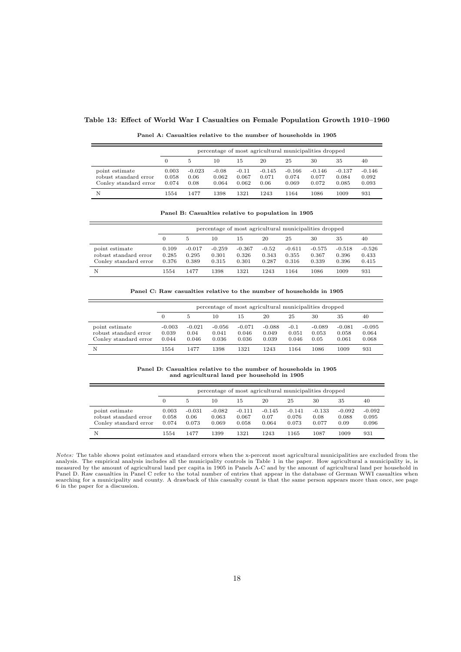## Table 13: Effect of World War I Casualties on Female Population Growth 1910–1960

| Panel A: Casualties relative to the number of households in 1905 |  |  |  |
|------------------------------------------------------------------|--|--|--|
|------------------------------------------------------------------|--|--|--|

|                                                                  |                         | percentage of most agricultural municipalities dropped |                           |                           |                           |                            |                            |                            |                            |  |  |
|------------------------------------------------------------------|-------------------------|--------------------------------------------------------|---------------------------|---------------------------|---------------------------|----------------------------|----------------------------|----------------------------|----------------------------|--|--|
|                                                                  | 0                       | 5                                                      | 10                        | 15                        | 20                        | 25                         | 30                         | 35                         | 40                         |  |  |
| point estimate<br>robust standard error<br>Conley standard error | 0.003<br>0.058<br>0.074 | $-0.023$<br>0.06<br>0.08                               | $-0.08$<br>0.062<br>0.064 | $-0.11$<br>0.067<br>0.062 | $-0.145$<br>0.071<br>0.06 | $-0.166$<br>0.074<br>0.069 | $-0.146$<br>0.077<br>0.072 | $-0.137$<br>0.084<br>0.085 | $-0.146$<br>0.092<br>0.093 |  |  |
| N                                                                | 1554                    | 1477                                                   | 1398                      | 1321                      | 1243                      | 1164                       | 1086                       | 1009                       | 931                        |  |  |

Panel B: Casualties relative to population in 1905

|                                                                  |                         | percentage of most agricultural municipalities dropped |                            |                            |                           |                            |                            |                            |                            |  |  |  |
|------------------------------------------------------------------|-------------------------|--------------------------------------------------------|----------------------------|----------------------------|---------------------------|----------------------------|----------------------------|----------------------------|----------------------------|--|--|--|
|                                                                  | 0                       | 5                                                      | 10                         | 15                         | 20                        | 25                         | 30                         | 35                         | 40                         |  |  |  |
| point estimate<br>robust standard error<br>Conley standard error | 0.109<br>0.285<br>0.376 | $-0.017$<br>0.295<br>0.389                             | $-0.259$<br>0.301<br>0.315 | $-0.367$<br>0.326<br>0.301 | $-0.52$<br>0.343<br>0.287 | $-0.611$<br>0.355<br>0.316 | $-0.575$<br>0.367<br>0.339 | $-0.518$<br>0.396<br>0.396 | $-0.526$<br>0.433<br>0.415 |  |  |  |
| N                                                                | 1554                    | 1477                                                   | 1398                       | 1321                       | 1243                      | 1164                       | 1086                       | 1009                       | 931                        |  |  |  |

Panel C: Raw casualties relative to the number of households in 1905

|                                                                  |                            | percentage of most agricultural municipalities dropped |                            |                            |                            |                          |                           |                            |                            |  |  |
|------------------------------------------------------------------|----------------------------|--------------------------------------------------------|----------------------------|----------------------------|----------------------------|--------------------------|---------------------------|----------------------------|----------------------------|--|--|
|                                                                  |                            | 5                                                      | 10                         | 15                         | 20                         | 25                       | 30                        | 35                         | 40                         |  |  |
| point estimate<br>robust standard error<br>Conley standard error | $-0.003$<br>0.039<br>0.044 | $-0.021$<br>0.04<br>0.046                              | $-0.056$<br>0.041<br>0.036 | $-0.071$<br>0.046<br>0.036 | $-0.088$<br>0.049<br>0.039 | $-0.1$<br>0.051<br>0.046 | $-0.089$<br>0.053<br>0.05 | $-0.081$<br>0.058<br>0.061 | $-0.095$<br>0.064<br>0.068 |  |  |
| N                                                                | 1554                       | 1477                                                   | 1398                       | 1321                       | 1243                       | 1164                     | 1086                      | 1009                       | 931                        |  |  |

Panel D: Casualties relative to the number of households in 1905 and agricultural land per household in 1905

|                                                                  |                         | percentage of most agricultural municipalities dropped |                            |                            |                           |                            |                           |                           |                            |  |  |
|------------------------------------------------------------------|-------------------------|--------------------------------------------------------|----------------------------|----------------------------|---------------------------|----------------------------|---------------------------|---------------------------|----------------------------|--|--|
|                                                                  |                         |                                                        | 10                         | 15                         | 20                        | 25                         | 30                        | 35                        | 40                         |  |  |
| point estimate<br>robust standard error<br>Conley standard error | 0.003<br>0.058<br>0.074 | $-0.031$<br>0.06<br>0.073                              | $-0.082$<br>0.063<br>0.069 | $-0.111$<br>0.067<br>0.058 | $-0.145$<br>0.07<br>0.064 | $-0.141$<br>0.076<br>0.073 | $-0.133$<br>0.08<br>0.077 | $-0.092$<br>0.088<br>0.09 | $-0.092$<br>0.095<br>0.096 |  |  |
| N                                                                | 1554                    | 1477                                                   | 1399                       | 1321                       | 1243                      | 1165                       | 1087                      | 1009                      | 931                        |  |  |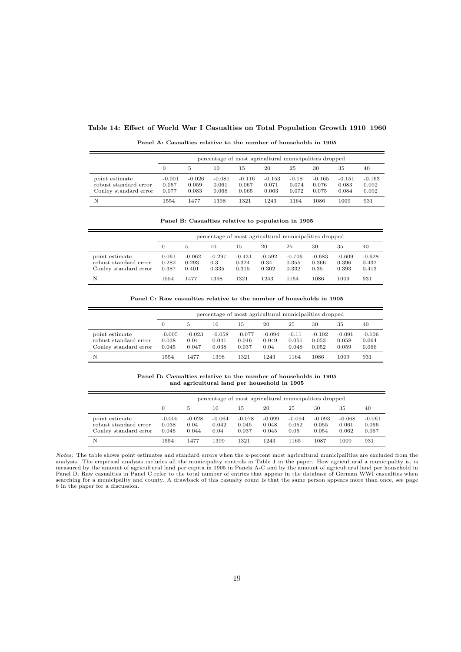#### Table 14: Effect of World War I Casualties on Total Population Growth 1910–1960

|                                                                  | percentage of most agricultural municipalities dropped |                            |                            |                            |                            |                           |                            |                            |                            |  |  |
|------------------------------------------------------------------|--------------------------------------------------------|----------------------------|----------------------------|----------------------------|----------------------------|---------------------------|----------------------------|----------------------------|----------------------------|--|--|
|                                                                  | 0                                                      | 5                          | 10                         | 15                         | 20                         | 25                        | 30                         | 35                         | 40                         |  |  |
| point estimate<br>robust standard error<br>Conley standard error | $-0.001$<br>0.057<br>0.077                             | $-0.026$<br>0.059<br>0.083 | $-0.081$<br>0.061<br>0.068 | $-0.116$<br>0.067<br>0.065 | $-0.153$<br>0.071<br>0.063 | $-0.18$<br>0.074<br>0.072 | $-0.165$<br>0.076<br>0.075 | $-0.151$<br>0.083<br>0.084 | $-0.163$<br>0.092<br>0.092 |  |  |
| Ν                                                                | 1554                                                   | 1477                       | 1398                       | 1321                       | 1243                       | 1164                      | 1086                       | 1009                       | 931                        |  |  |

Panel A: Casualties relative to the number of households in 1905

|  |  |  |  | Panel B: Casualties relative to population in 1905 |  |  |
|--|--|--|--|----------------------------------------------------|--|--|
|--|--|--|--|----------------------------------------------------|--|--|

|                                                                  |                         | percentage of most agricultural municipalities dropped |                          |                            |                           |                            |                           |                            |                            |  |  |
|------------------------------------------------------------------|-------------------------|--------------------------------------------------------|--------------------------|----------------------------|---------------------------|----------------------------|---------------------------|----------------------------|----------------------------|--|--|
|                                                                  | 0                       | 5.                                                     | 10                       | 15                         | 20                        | 25                         | 30                        | 35                         | 40                         |  |  |
| point estimate<br>robust standard error<br>Conley standard error | 0.061<br>0.282<br>0.387 | $-0.062$<br>0.293<br>0.401                             | $-0.297$<br>0.3<br>0.335 | $-0.431$<br>0.324<br>0.315 | $-0.592$<br>0.34<br>0.302 | $-0.706$<br>0.355<br>0.332 | $-0.683$<br>0.366<br>0.35 | $-0.609$<br>0.396<br>0.393 | $-0.628$<br>0.432<br>0.413 |  |  |
| N                                                                | 1554                    | 1477                                                   | 1398                     | 1321                       | 1243                      | 1164                       | 1086                      | 1009                       | 931                        |  |  |

Panel C: Raw casualties relative to the number of households in 1905

|                                                                  |                            | percentage of most agricultural municipalities dropped |                            |                            |                           |                           |                            |                            |                            |  |  |
|------------------------------------------------------------------|----------------------------|--------------------------------------------------------|----------------------------|----------------------------|---------------------------|---------------------------|----------------------------|----------------------------|----------------------------|--|--|
|                                                                  |                            | 5                                                      | 10                         | 15                         | 20                        | 25                        | 30                         | 35                         | 40                         |  |  |
| point estimate<br>robust standard error<br>Conley standard error | $-0.005$<br>0.038<br>0.045 | $-0.023$<br>0.04<br>0.047                              | $-0.058$<br>0.041<br>0.038 | $-0.077$<br>0.046<br>0.037 | $-0.094$<br>0.049<br>0.04 | $-0.11$<br>0.051<br>0.048 | $-0.102$<br>0.053<br>0.052 | $-0.091$<br>0.058<br>0.059 | $-0.106$<br>0.064<br>0.066 |  |  |
| N                                                                | 1554                       | 1477                                                   | 1398                       | 1321                       | 1243                      | 1164                      | 1086                       | 1009                       | 931                        |  |  |

Panel D: Casualties relative to the number of households in 1905 and agricultural land per household in 1905

|                                                                  |                            | percentage of most agricultural municipalities dropped |                           |                            |                            |                           |                            |                            |                            |  |  |
|------------------------------------------------------------------|----------------------------|--------------------------------------------------------|---------------------------|----------------------------|----------------------------|---------------------------|----------------------------|----------------------------|----------------------------|--|--|
|                                                                  |                            | 5                                                      | 10                        | 15                         | 20                         | 25                        | 30                         | 35                         | 40                         |  |  |
| point estimate<br>robust standard error<br>Conley standard error | $-0.005$<br>0.038<br>0.045 | $-0.028$<br>0.04<br>0.044                              | $-0.064$<br>0.042<br>0.04 | $-0.078$<br>0.045<br>0.037 | $-0.099$<br>0.048<br>0.045 | $-0.094$<br>0.052<br>0.05 | $-0.093$<br>0.055<br>0.054 | $-0.068$<br>0.061<br>0.062 | $-0.061$<br>0.066<br>0.067 |  |  |
| N                                                                | 1554                       | 1477                                                   | 1399                      | 1321                       | 1243                       | 1165                      | 1087                       | 1009                       | 931                        |  |  |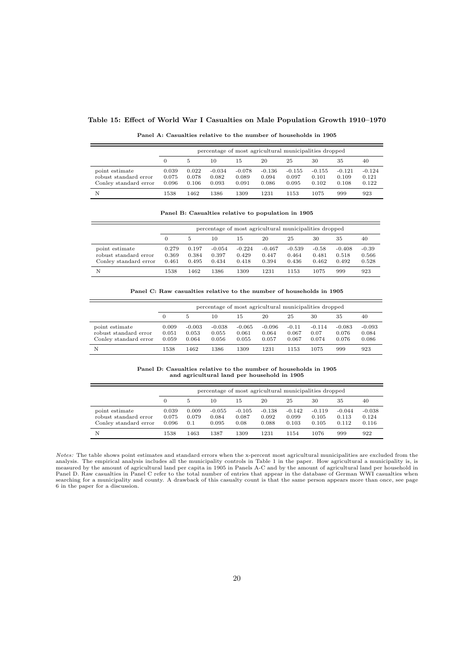#### Table 15: Effect of World War I Casualties on Male Population Growth 1910–1970

|                                                                  |                         | percentage of most agricultural municipalities dropped |                            |                            |                            |                            |                            |                            |                            |  |  |  |
|------------------------------------------------------------------|-------------------------|--------------------------------------------------------|----------------------------|----------------------------|----------------------------|----------------------------|----------------------------|----------------------------|----------------------------|--|--|--|
|                                                                  | 0                       | 5.                                                     | 10                         | 15                         | 20                         | 25                         | 30                         | 35                         | 40                         |  |  |  |
| point estimate<br>robust standard error<br>Conley standard error | 0.039<br>0.075<br>0.096 | 0.022<br>0.078<br>0.106                                | $-0.034$<br>0.082<br>0.093 | $-0.078$<br>0.089<br>0.091 | $-0.136$<br>0.094<br>0.086 | $-0.155$<br>0.097<br>0.095 | $-0.155$<br>0.101<br>0.102 | $-0.121$<br>0.109<br>0.108 | $-0.124$<br>0.121<br>0.122 |  |  |  |
| N                                                                | 1538                    | 1462                                                   | 1386                       | 1309                       | 1231                       | 1153                       | 1075                       | 999                        | 923                        |  |  |  |

Panel A: Casualties relative to the number of households in 1905

Panel B: Casualties relative to population in 1905

|                                                                  |                         | percentage of most agricultural municipalities dropped |                            |                            |                            |                            |                           |                            |                           |  |  |
|------------------------------------------------------------------|-------------------------|--------------------------------------------------------|----------------------------|----------------------------|----------------------------|----------------------------|---------------------------|----------------------------|---------------------------|--|--|
|                                                                  |                         | 5                                                      | 10                         | 15                         | 20                         | 25                         | 30                        | 35                         | 40                        |  |  |
| point estimate<br>robust standard error<br>Conley standard error | 0.279<br>0.369<br>0.461 | 0.197<br>0.384<br>0.495                                | $-0.054$<br>0.397<br>0.434 | $-0.224$<br>0.429<br>0.418 | $-0.467$<br>0.447<br>0.394 | $-0.539$<br>0.464<br>0.436 | $-0.58$<br>0.481<br>0.462 | $-0.408$<br>0.518<br>0.492 | $-0.39$<br>0.566<br>0.528 |  |  |
| N                                                                | 1538                    | 1462                                                   | 1386                       | 1309                       | 1231                       | 1153                       | 1075                      | 999                        | 923                       |  |  |

Panel C: Raw casualties relative to the number of households in 1905

|                                                                  |                         | percentage of most agricultural municipalities dropped |                            |                            |                            |                           |                           |                            |                            |  |  |  |
|------------------------------------------------------------------|-------------------------|--------------------------------------------------------|----------------------------|----------------------------|----------------------------|---------------------------|---------------------------|----------------------------|----------------------------|--|--|--|
|                                                                  |                         |                                                        | 25                         | 30                         | 35                         | 40                        |                           |                            |                            |  |  |  |
| point estimate<br>robust standard error<br>Conley standard error | 0.009<br>0.051<br>0.059 | $-0.003$<br>0.053<br>0.064                             | $-0.038$<br>0.055<br>0.056 | $-0.065$<br>0.061<br>0.055 | $-0.096$<br>0.064<br>0.057 | $-0.11$<br>0.067<br>0.067 | $-0.114$<br>0.07<br>0.074 | $-0.083$<br>0.076<br>0.076 | $-0.093$<br>0.084<br>0.086 |  |  |  |
| N                                                                | 1538                    | 1462                                                   | 1386                       | 1309                       | 1231                       | 1153                      | 1075                      | 999                        | 923                        |  |  |  |

Panel D: Casualties relative to the number of households in 1905 and agricultural land per household in 1905

|                                                                  | percentage of most agricultural municipalities dropped |                       |                            |                           |                            |                            |                            |                            |                            |  |  |
|------------------------------------------------------------------|--------------------------------------------------------|-----------------------|----------------------------|---------------------------|----------------------------|----------------------------|----------------------------|----------------------------|----------------------------|--|--|
|                                                                  | 0                                                      |                       | 10                         | 15                        | 20                         | 25                         | 30                         | 35                         | 40                         |  |  |
| point estimate<br>robust standard error<br>Conley standard error | 0.039<br>0.075<br>0.096                                | 0.009<br>0.079<br>0.1 | $-0.055$<br>0.084<br>0.095 | $-0.105$<br>0.087<br>0.08 | $-0.138$<br>0.092<br>0.088 | $-0.142$<br>0.099<br>0.103 | $-0.119$<br>0.105<br>0.105 | $-0.044$<br>0.113<br>0.112 | $-0.038$<br>0.124<br>0.116 |  |  |
| N                                                                | 1538                                                   | 1463                  | 1387                       | 1309                      | 1231                       | 1154                       | 1076                       | 999                        | 922                        |  |  |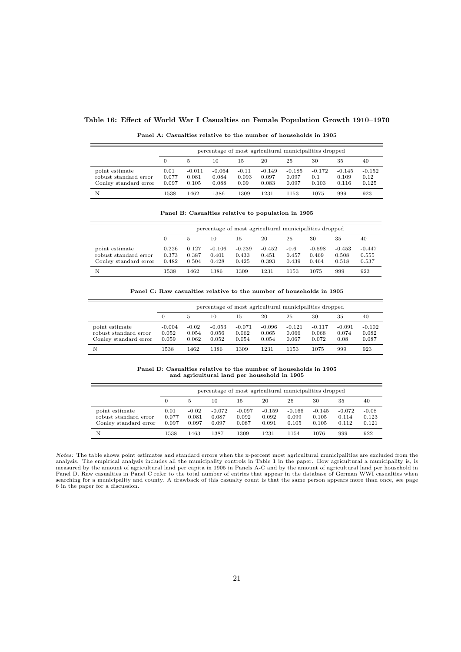## Table 16: Effect of World War I Casualties on Female Population Growth 1910–1970

| Panel A: Casualties relative to the number of households in 1905 |  |
|------------------------------------------------------------------|--|
|------------------------------------------------------------------|--|

|                                                                  |                        | percentage of most agricultural municipalities dropped |                            |                          |                            |                            |                          |                            |                           |  |  |  |
|------------------------------------------------------------------|------------------------|--------------------------------------------------------|----------------------------|--------------------------|----------------------------|----------------------------|--------------------------|----------------------------|---------------------------|--|--|--|
|                                                                  | $\Omega$               | 5                                                      | 10                         | 15                       | 20                         | 25                         | 30                       | 35                         | 40                        |  |  |  |
| point estimate<br>robust standard error<br>Conley standard error | 0.01<br>0.077<br>0.097 | $-0.011$<br>0.081<br>0.105                             | $-0.064$<br>0.084<br>0.088 | $-0.11$<br>0.093<br>0.09 | $-0.149$<br>0.097<br>0.083 | $-0.185$<br>0.097<br>0.097 | $-0.172$<br>0.1<br>0.103 | $-0.145$<br>0.109<br>0.116 | $-0.152$<br>0.12<br>0.125 |  |  |  |
| N                                                                | 1538                   | 1462                                                   | 1386                       | 1309                     | 1231                       | 1153                       | 1075                     | 999                        | 923                       |  |  |  |

Panel B: Casualties relative to population in 1905

|                                                                  | percentage of most agricultural municipalities dropped |                         |                            |                            |                            |                          |                            |                            |                            |  |  |
|------------------------------------------------------------------|--------------------------------------------------------|-------------------------|----------------------------|----------------------------|----------------------------|--------------------------|----------------------------|----------------------------|----------------------------|--|--|
|                                                                  | 0                                                      | 5                       | 10                         | 15                         | 20                         | 25                       | 30                         | 35                         | 40                         |  |  |
| point estimate<br>robust standard error<br>Conley standard error | 0.226<br>0.373<br>0.482                                | 0.127<br>0.387<br>0.504 | $-0.106$<br>0.401<br>0.428 | $-0.239$<br>0.433<br>0.425 | $-0.452$<br>0.451<br>0.393 | $-0.6$<br>0.457<br>0.439 | $-0.598$<br>0.469<br>0.464 | $-0.453$<br>0.508<br>0.518 | $-0.447$<br>0.555<br>0.537 |  |  |
| N                                                                | 1538                                                   | 1462                    | 1386                       | 1309                       | 1231                       | 1153                     | 1075                       | 999                        | 923                        |  |  |

Panel C: Raw casualties relative to the number of households in 1905

|                                                                  | percentage of most agricultural municipalities dropped |                           |                            |                            |                            |                            |                            |                           |                            |  |  |
|------------------------------------------------------------------|--------------------------------------------------------|---------------------------|----------------------------|----------------------------|----------------------------|----------------------------|----------------------------|---------------------------|----------------------------|--|--|
|                                                                  | 20<br>25<br>30<br>10<br>15<br>5                        |                           |                            |                            |                            |                            |                            |                           | 40                         |  |  |
| point estimate<br>robust standard error<br>Conley standard error | $-0.004$<br>0.052<br>0.059                             | $-0.02$<br>0.054<br>0.062 | $-0.053$<br>0.056<br>0.052 | $-0.071$<br>0.062<br>0.054 | $-0.096$<br>0.065<br>0.054 | $-0.121$<br>0.066<br>0.067 | $-0.117$<br>0.068<br>0.072 | $-0.091$<br>0.074<br>0.08 | $-0.102$<br>0.082<br>0.087 |  |  |
| N                                                                | 1538                                                   | 1462                      | 1386                       | 1309                       | 1231                       | 1153                       | 1075                       | 999                       | 923                        |  |  |

Panel D: Casualties relative to the number of households in 1905 and agricultural land per household in 1905

|                                                                  |                        | percentage of most agricultural municipalities dropped |                            |                            |                            |                            |                            |                            |                           |  |  |  |
|------------------------------------------------------------------|------------------------|--------------------------------------------------------|----------------------------|----------------------------|----------------------------|----------------------------|----------------------------|----------------------------|---------------------------|--|--|--|
|                                                                  |                        | 5                                                      | 10                         | 15                         | 20                         | 25                         | 30                         | 35                         | 40                        |  |  |  |
| point estimate<br>robust standard error<br>Conley standard error | 0.01<br>0.077<br>0.097 | $-0.02$<br>0.081<br>0.097                              | $-0.072$<br>0.087<br>0.097 | $-0.097$<br>0.092<br>0.087 | $-0.159$<br>0.092<br>0.091 | $-0.166$<br>0.099<br>0.105 | $-0.145$<br>0.105<br>0.105 | $-0.072$<br>0.114<br>0.112 | $-0.08$<br>0.123<br>0.121 |  |  |  |
| N                                                                | 1538                   | 1463                                                   | 1387                       | 1309                       | 1231                       | 1154                       | 1076                       | 999                        | 922                       |  |  |  |